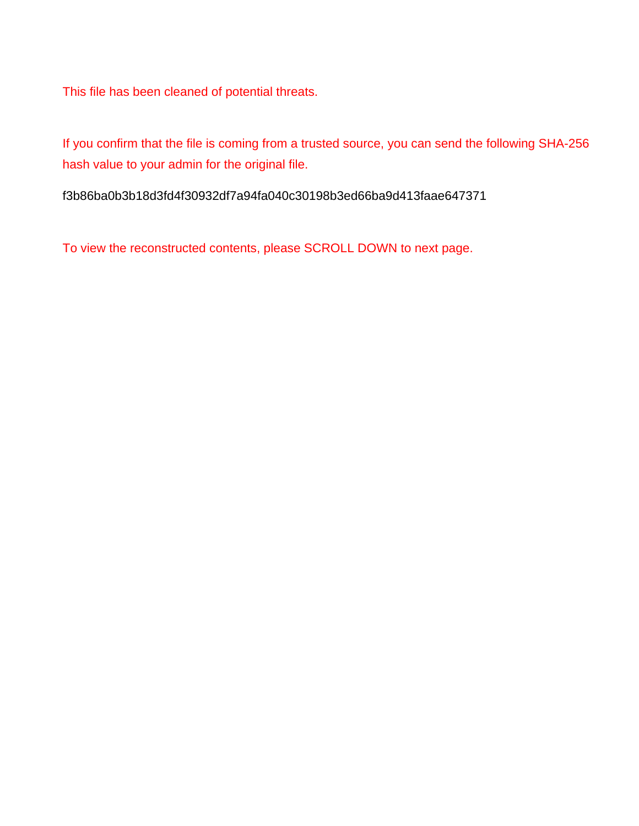This file has been cleaned of potential threats.

If you confirm that the file is coming from a trusted source, you can send the following SHA-256 hash value to your admin for the original file.

f3b86ba0b3b18d3fd4f30932df7a94fa040c30198b3ed66ba9d413faae647371

To view the reconstructed contents, please SCROLL DOWN to next page.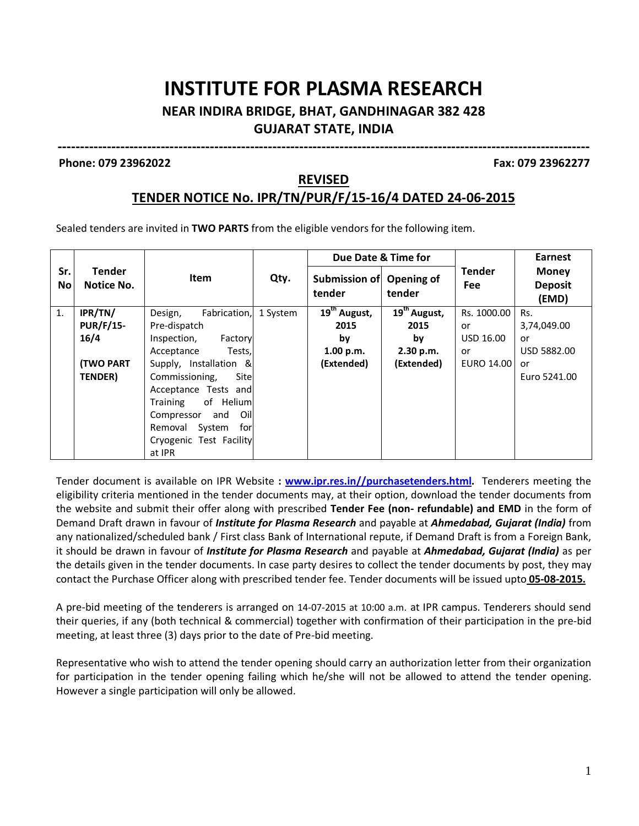## **INSTITUTE FOR PLASMA RESEARCH**

#### **NEAR INDIRA BRIDGE, BHAT, GANDHINAGAR 382 428 GUJARAT STATE, INDIA**

#### **Phone: 079 23962022 Fax: 079 23962277**

#### **REVISED**

**-----------------------------------------------------------------------------------------------------------------------**

#### **TENDER NOTICE No. IPR/TN/PUR/F/15-16/4 DATED 24-06-2015**

Sealed tenders are invited in **TWO PARTS** from the eligible vendors for the following item.

|                  |                             |                         |          | Due Date & Time for      |                          |                             | <b>Earnest</b>                          |
|------------------|-----------------------------|-------------------------|----------|--------------------------|--------------------------|-----------------------------|-----------------------------------------|
| Sr.<br><b>No</b> | <b>Tender</b><br>Notice No. | <b>Item</b>             | Qty.     | Submission of<br>tender  | Opening of<br>tender     | <b>Tender</b><br><b>Fee</b> | <b>Money</b><br><b>Deposit</b><br>(EMD) |
| 1.               | IPR/TN/                     | Design,<br>Fabrication, | 1 System | 19 <sup>th</sup> August, | 19 <sup>th</sup> August, | Rs. 1000.00                 | Rs.                                     |
|                  | <b>PUR/F/15-</b>            | Pre-dispatch            |          | 2015                     | 2015                     | or                          | 3,74,049.00                             |
|                  | 16/4                        | Inspection,<br>Factory  |          | by                       | by                       | USD 16.00                   | or                                      |
|                  |                             | Acceptance<br>Tests,    |          | 1.00 p.m.                | 2.30 p.m.                | or                          | USD 5882.00                             |
|                  | <b>(TWO PART</b>            | Supply, Installation &  |          | (Extended)               | (Extended)               | EURO 14.00                  | or                                      |
|                  | TENDER)                     | Site<br>Commissioning,  |          |                          |                          |                             | Euro 5241.00                            |
|                  |                             | Acceptance Tests and    |          |                          |                          |                             |                                         |
|                  |                             | of Helium<br>Training   |          |                          |                          |                             |                                         |
|                  |                             | Oill<br>Compressor and  |          |                          |                          |                             |                                         |
|                  |                             | forl<br>Removal System  |          |                          |                          |                             |                                         |
|                  |                             | Cryogenic Test Facility |          |                          |                          |                             |                                         |
|                  |                             | at IPR                  |          |                          |                          |                             |                                         |

Tender document is available on IPR Website **: www.ipr.res.in//purchasetenders.html.** Tenderers meeting the eligibility criteria mentioned in the tender documents may, at their option, download the tender documents from the website and submit their offer along with prescribed **Tender Fee (non- refundable) and EMD** in the form of Demand Draft drawn in favour of *Institute for Plasma Research* and payable at *Ahmedabad, Gujarat (India)* from any nationalized/scheduled bank / First class Bank of International repute, if Demand Draft is from a Foreign Bank, it should be drawn in favour of *Institute for Plasma Research* and payable at *Ahmedabad, Gujarat (India)* as per the details given in the tender documents. In case party desires to collect the tender documents by post, they may contact the Purchase Officer along with prescribed tender fee. Tender documents will be issued upto **05-08-2015.**

A pre-bid meeting of the tenderers is arranged on 14-07-2015 at 10:00 a.m. at IPR campus. Tenderers should send their queries, if any (both technical & commercial) together with confirmation of their participation in the pre-bid meeting, at least three (3) days prior to the date of Pre-bid meeting.

Representative who wish to attend the tender opening should carry an authorization letter from their organization for participation in the tender opening failing which he/she will not be allowed to attend the tender opening. However a single participation will only be allowed.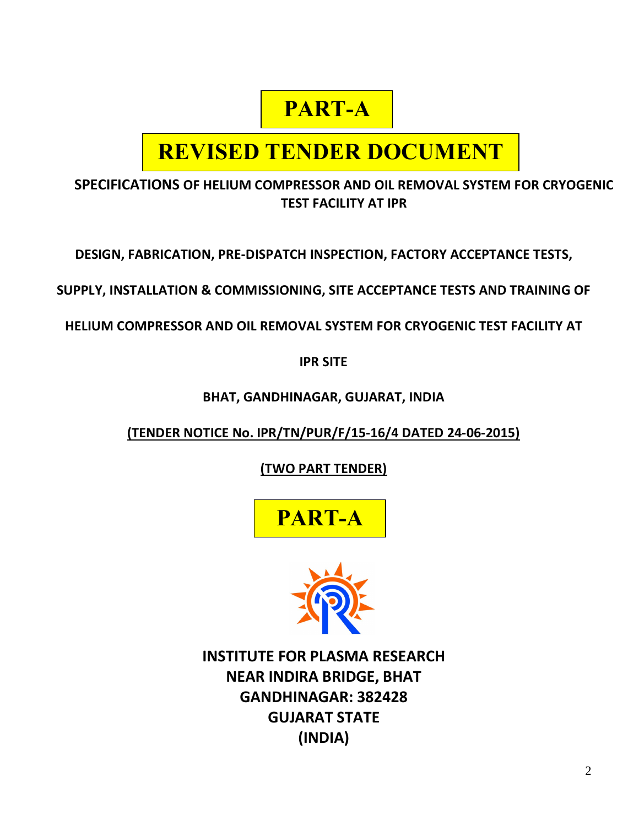## **PART-A**

## **REVISED TENDER DOCUMENT**

**SPECIFICATIONS OF HELIUM COMPRESSOR AND OIL REMOVAL SYSTEM FOR CRYOGENIC TEST FACILITY AT IPR** 

**DESIGN, FABRICATION, PRE-DISPATCH INSPECTION, FACTORY ACCEPTANCE TESTS,** 

**SUPPLY, INSTALLATION & COMMISSIONING, SITE ACCEPTANCE TESTS AND TRAINING OF** 

**HELIUM COMPRESSOR AND OIL REMOVAL SYSTEM FOR CRYOGENIC TEST FACILITY AT** 

**IPR SITE**

**BHAT, GANDHINAGAR, GUJARAT, INDIA**

**(TENDER NOTICE No. IPR/TN/PUR/F/15-16/4 DATED 24-06-2015)**

**(TWO PART TENDER)**





**INSTITUTE FOR PLASMA RESEARCH NEAR INDIRA BRIDGE, BHAT GANDHINAGAR: 382428 GUJARAT STATE (INDIA)**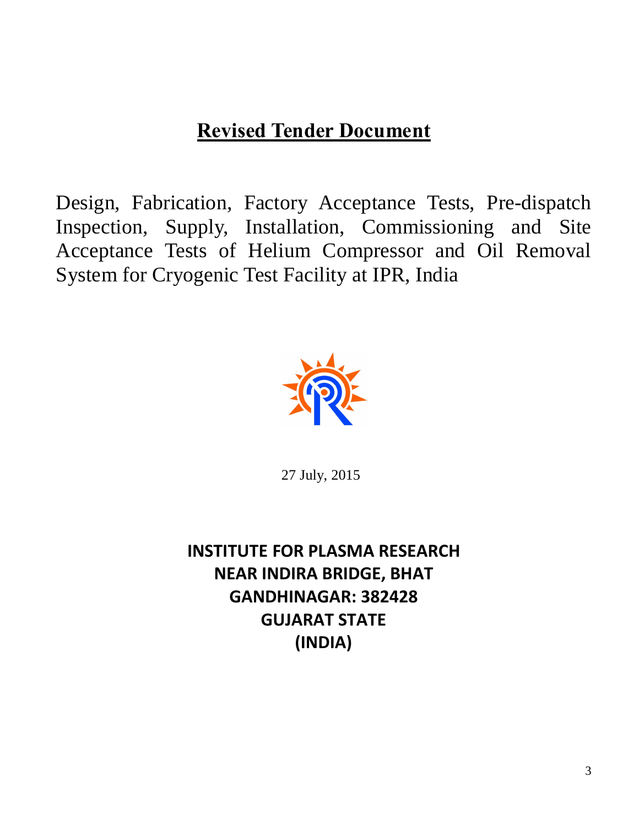## **Revised Tender Document**

Design, Fabrication, Factory Acceptance Tests, Pre-dispatch Inspection, Supply, Installation, Commissioning and Site Acceptance Tests of Helium Compressor and Oil Removal System for Cryogenic Test Facility at IPR, India



27 July, 2015

**INSTITUTE FOR PLASMA RESEARCH NEAR INDIRA BRIDGE, BHAT GANDHINAGAR: 382428 GUJARAT STATE (INDIA)**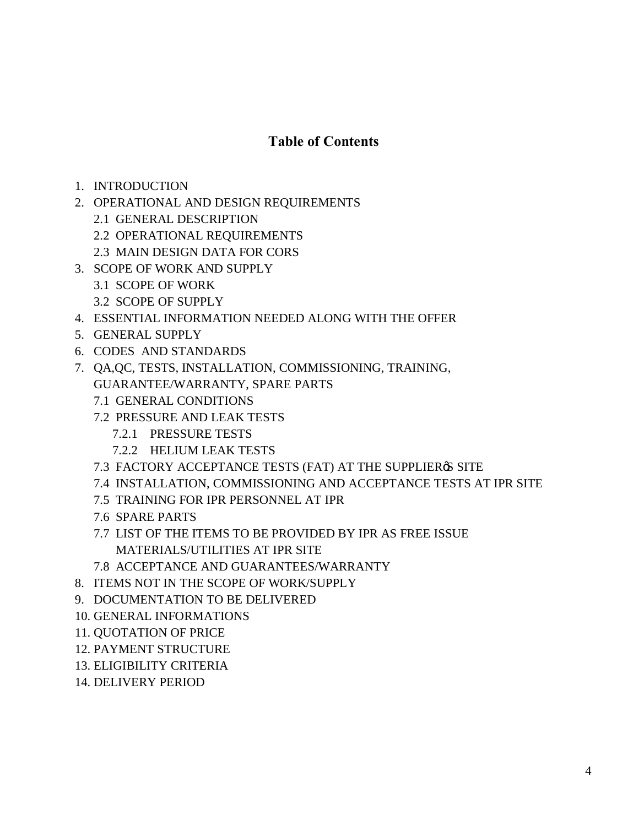#### **Table of Contents**

- 1. INTRODUCTION
- 2. OPERATIONAL AND DESIGN REQUIREMENTS
	- 2.1 GENERAL DESCRIPTION
	- 2.2 OPERATIONAL REQUIREMENTS
	- 2.3 MAIN DESIGN DATA FOR CORS
- 3. SCOPE OF WORK AND SUPPLY
	- 3.1 SCOPE OF WORK
	- 3.2 SCOPE OF SUPPLY
- 4. ESSENTIAL INFORMATION NEEDED ALONG WITH THE OFFER
- 5. GENERAL SUPPLY
- 6. CODES AND STANDARDS
- 7. QA,QC, TESTS, INSTALLATION, COMMISSIONING, TRAINING, GUARANTEE/WARRANTY, SPARE PARTS
	- 7.1 GENERAL CONDITIONS
	- 7.2 PRESSURE AND LEAK TESTS
		- 7.2.1 PRESSURE TESTS
		- 7.2.2 HELIUM LEAK TESTS
	- 7.3 FACTORY ACCEPTANCE TESTS (FAT) AT THE SUPPLIER & SITE
	- 7.4 INSTALLATION, COMMISSIONING AND ACCEPTANCE TESTS AT IPR SITE
	- 7.5 TRAINING FOR IPR PERSONNEL AT IPR
	- 7.6 SPARE PARTS
	- 7.7 LIST OF THE ITEMS TO BE PROVIDED BY IPR AS FREE ISSUE MATERIALS/UTILITIES AT IPR SITE
	- 7.8 ACCEPTANCE AND GUARANTEES/WARRANTY
- 8. ITEMS NOT IN THE SCOPE OF WORK/SUPPLY
- 9. DOCUMENTATION TO BE DELIVERED
- 10. GENERAL INFORMATIONS
- 11. QUOTATION OF PRICE
- 12. PAYMENT STRUCTURE
- 13. ELIGIBILITY CRITERIA
- 14. DELIVERY PERIOD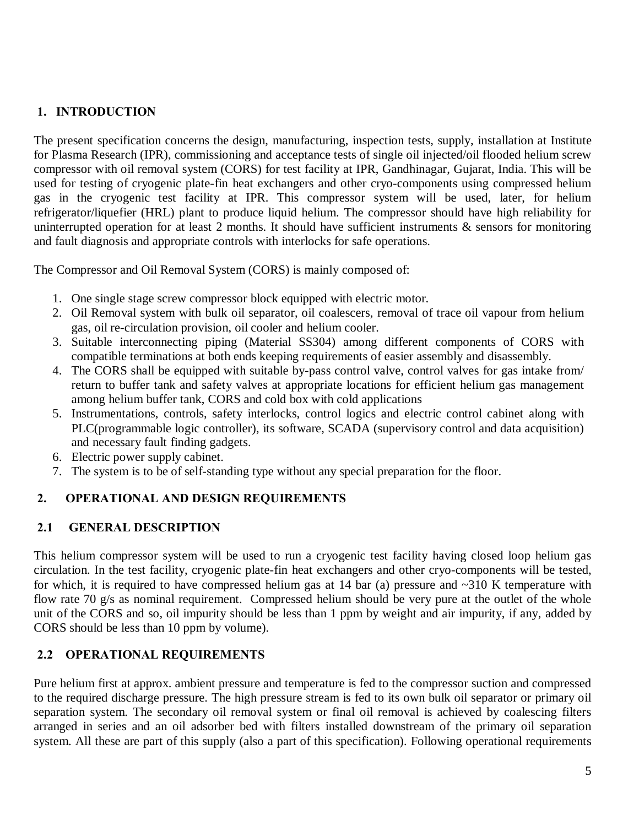#### **1. INTRODUCTION**

The present specification concerns the design, manufacturing, inspection tests, supply, installation at Institute for Plasma Research (IPR), commissioning and acceptance tests of single oil injected/oil flooded helium screw compressor with oil removal system (CORS) for test facility at IPR, Gandhinagar, Gujarat, India. This will be used for testing of cryogenic plate-fin heat exchangers and other cryo-components using compressed helium gas in the cryogenic test facility at IPR. This compressor system will be used, later, for helium refrigerator/liquefier (HRL) plant to produce liquid helium. The compressor should have high reliability for uninterrupted operation for at least 2 months. It should have sufficient instruments & sensors for monitoring and fault diagnosis and appropriate controls with interlocks for safe operations.

The Compressor and Oil Removal System (CORS) is mainly composed of:

- 1. One single stage screw compressor block equipped with electric motor.
- 2. Oil Removal system with bulk oil separator, oil coalescers, removal of trace oil vapour from helium gas, oil re-circulation provision, oil cooler and helium cooler.
- 3. Suitable interconnecting piping (Material SS304) among different components of CORS with compatible terminations at both ends keeping requirements of easier assembly and disassembly.
- 4. The CORS shall be equipped with suitable by-pass control valve, control valves for gas intake from/ return to buffer tank and safety valves at appropriate locations for efficient helium gas management among helium buffer tank, CORS and cold box with cold applications
- 5. Instrumentations, controls, safety interlocks, control logics and electric control cabinet along with PLC(programmable logic controller), its software, SCADA (supervisory control and data acquisition) and necessary fault finding gadgets.
- 6. Electric power supply cabinet.
- 7. The system is to be of self-standing type without any special preparation for the floor.

#### **2. OPERATIONAL AND DESIGN REQUIREMENTS**

#### **2.1 GENERAL DESCRIPTION**

This helium compressor system will be used to run a cryogenic test facility having closed loop helium gas circulation. In the test facility, cryogenic plate-fin heat exchangers and other cryo-components will be tested, for which, it is required to have compressed helium gas at 14 bar (a) pressure and  $\sim$ 310 K temperature with flow rate 70 g/s as nominal requirement. Compressed helium should be very pure at the outlet of the whole unit of the CORS and so, oil impurity should be less than 1 ppm by weight and air impurity, if any, added by CORS should be less than 10 ppm by volume).

#### **2.2 OPERATIONAL REQUIREMENTS**

Pure helium first at approx. ambient pressure and temperature is fed to the compressor suction and compressed to the required discharge pressure. The high pressure stream is fed to its own bulk oil separator or primary oil separation system. The secondary oil removal system or final oil removal is achieved by coalescing filters arranged in series and an oil adsorber bed with filters installed downstream of the primary oil separation system. All these are part of this supply (also a part of this specification). Following operational requirements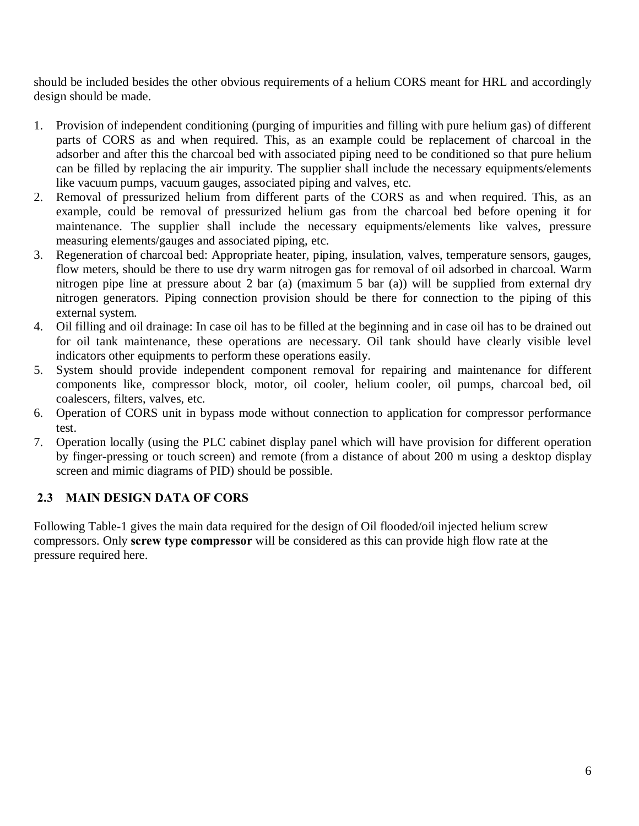should be included besides the other obvious requirements of a helium CORS meant for HRL and accordingly design should be made.

- 1. Provision of independent conditioning (purging of impurities and filling with pure helium gas) of different parts of CORS as and when required. This, as an example could be replacement of charcoal in the adsorber and after this the charcoal bed with associated piping need to be conditioned so that pure helium can be filled by replacing the air impurity. The supplier shall include the necessary equipments/elements like vacuum pumps, vacuum gauges, associated piping and valves, etc.
- 2. Removal of pressurized helium from different parts of the CORS as and when required. This, as an example, could be removal of pressurized helium gas from the charcoal bed before opening it for maintenance. The supplier shall include the necessary equipments/elements like valves, pressure measuring elements/gauges and associated piping, etc.
- 3. Regeneration of charcoal bed: Appropriate heater, piping, insulation, valves, temperature sensors, gauges, flow meters, should be there to use dry warm nitrogen gas for removal of oil adsorbed in charcoal. Warm nitrogen pipe line at pressure about 2 bar (a) (maximum 5 bar (a)) will be supplied from external dry nitrogen generators. Piping connection provision should be there for connection to the piping of this external system.
- 4. Oil filling and oil drainage: In case oil has to be filled at the beginning and in case oil has to be drained out for oil tank maintenance, these operations are necessary. Oil tank should have clearly visible level indicators other equipments to perform these operations easily.
- 5. System should provide independent component removal for repairing and maintenance for different components like, compressor block, motor, oil cooler, helium cooler, oil pumps, charcoal bed, oil coalescers, filters, valves, etc.
- 6. Operation of CORS unit in bypass mode without connection to application for compressor performance test.
- 7. Operation locally (using the PLC cabinet display panel which will have provision for different operation by finger-pressing or touch screen) and remote (from a distance of about 200 m using a desktop display screen and mimic diagrams of PID) should be possible.

#### **2.3 MAIN DESIGN DATA OF CORS**

Following Table-1 gives the main data required for the design of Oil flooded/oil injected helium screw compressors. Only **screw type compressor** will be considered as this can provide high flow rate at the pressure required here.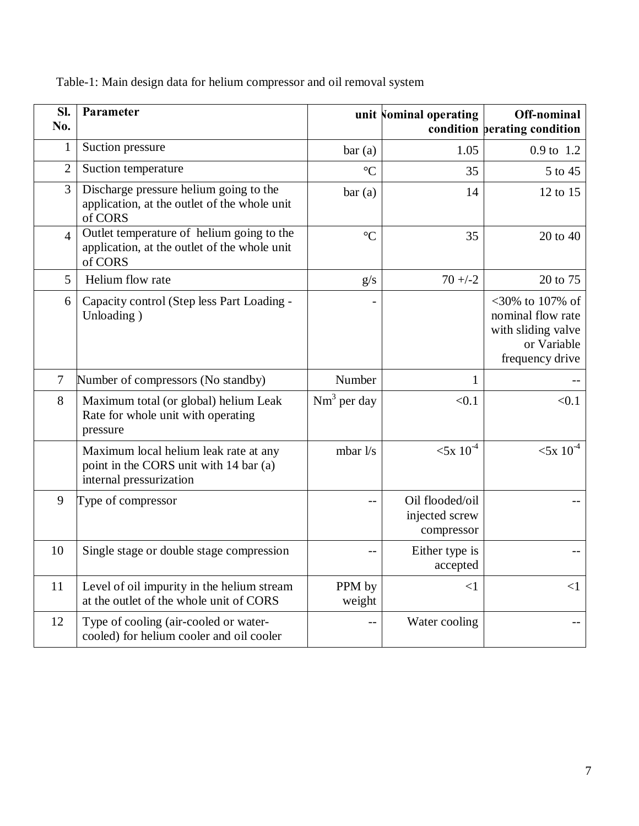|  |  |  |  |  | Table-1: Main design data for helium compressor and oil removal system |  |
|--|--|--|--|--|------------------------------------------------------------------------|--|
|  |  |  |  |  |                                                                        |  |
|  |  |  |  |  |                                                                        |  |
|  |  |  |  |  |                                                                        |  |

| Sl.<br>No.     | Parameter                                                                                                  |                  | unit Nominal operating                          | Off-nominal<br>condition perating condition                                                  |
|----------------|------------------------------------------------------------------------------------------------------------|------------------|-------------------------------------------------|----------------------------------------------------------------------------------------------|
| 1              | Suction pressure                                                                                           | bar(a)           | 1.05                                            | 0.9 to 1.2                                                                                   |
| $\overline{2}$ | Suction temperature                                                                                        | $\rm ^{\circ}C$  | 35                                              | 5 to 45                                                                                      |
| 3              | Discharge pressure helium going to the<br>application, at the outlet of the whole unit<br>of CORS          | bar(a)           | 14                                              | 12 to 15                                                                                     |
| $\overline{4}$ | Outlet temperature of helium going to the<br>application, at the outlet of the whole unit<br>of CORS       | $\rm ^{\circ}C$  | 35                                              | 20 to 40                                                                                     |
| 5              | Helium flow rate                                                                                           | g/s              | $70 + -2$                                       | 20 to 75                                                                                     |
| 6              | Capacity control (Step less Part Loading -<br>Unloading)                                                   |                  |                                                 | <30% to 107% of<br>nominal flow rate<br>with sliding valve<br>or Variable<br>frequency drive |
| $\overline{7}$ | Number of compressors (No standby)                                                                         | Number           | 1                                               |                                                                                              |
| 8              | Maximum total (or global) helium Leak<br>Rate for whole unit with operating<br>pressure                    | $Nm^3$ per day   | < 0.1                                           | < 0.1                                                                                        |
|                | Maximum local helium leak rate at any<br>point in the CORS unit with 14 bar (a)<br>internal pressurization | mbar $1/s$       | $< 5x 10^{-4}$                                  | $< 5x 10^{-4}$                                                                               |
| 9              | Type of compressor                                                                                         | $-$              | Oil flooded/oil<br>injected screw<br>compressor |                                                                                              |
| 10             | Single stage or double stage compression                                                                   | $-$              | Either type is<br>accepted                      |                                                                                              |
| 11             | Level of oil impurity in the helium stream<br>at the outlet of the whole unit of CORS                      | PPM by<br>weight | $\leq$ 1                                        | $<$ 1                                                                                        |
| 12             | Type of cooling (air-cooled or water-<br>cooled) for helium cooler and oil cooler                          | $- -$            | Water cooling                                   |                                                                                              |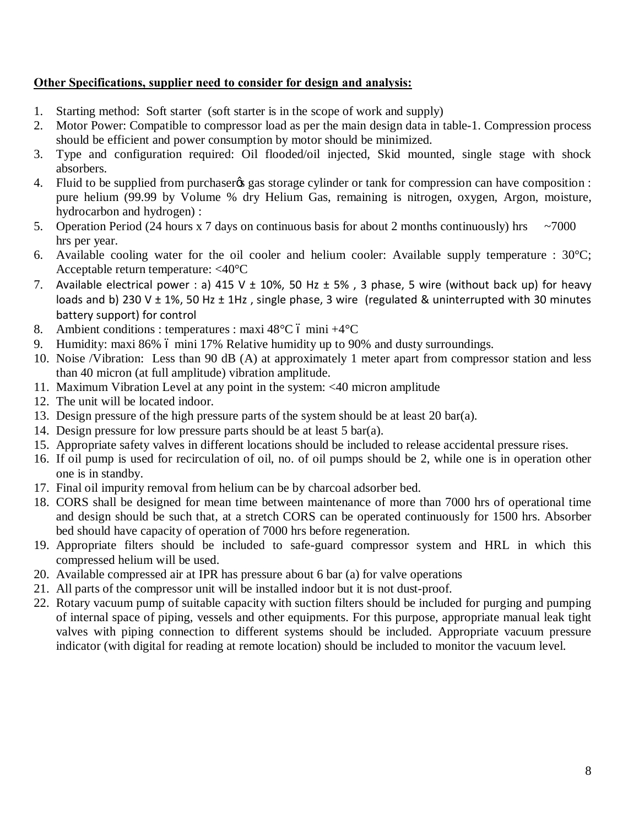#### **Other Specifications, supplier need to consider for design and analysis:**

- 1. Starting method: Soft starter (soft starter is in the scope of work and supply)
- 2. Motor Power: Compatible to compressor load as per the main design data in table-1. Compression process should be efficient and power consumption by motor should be minimized.
- 3. Type and configuration required: Oil flooded/oil injected, Skid mounted, single stage with shock absorbers.
- 4. Fluid to be supplied from purchaser ts gas storage cylinder or tank for compression can have composition : pure helium (99.99 by Volume % dry Helium Gas, remaining is nitrogen, oxygen, Argon, moisture, hydrocarbon and hydrogen) :
- 5. Operation Period (24 hours x 7 days on continuous basis for about 2 months continuously) hrs  $\sim$ 7000 hrs per year.
- 6. Available cooling water for the oil cooler and helium cooler: Available supply temperature :  $30^{\circ}$ C; Acceptable return temperature: <40°C
- 7. Available electrical power : a) 415 V  $\pm$  10%, 50 Hz  $\pm$  5%, 3 phase, 5 wire (without back up) for heavy loads and b) 230 V  $\pm$  1%, 50 Hz  $\pm$  1Hz, single phase, 3 wire (regulated & uninterrupted with 30 minutes battery support) for control
- 8. Ambient conditions : temperatures : maxi  $48^{\circ}$ C ó mini  $+4^{\circ}$ C
- 9. Humidity: maxi 86% 6 mini 17% Relative humidity up to 90% and dusty surroundings.
- 10. Noise /Vibration: Less than 90 dB (A) at approximately 1 meter apart from compressor station and less than 40 micron (at full amplitude) vibration amplitude.
- 11. Maximum Vibration Level at any point in the system: <40 micron amplitude
- 12. The unit will be located indoor.
- 13. Design pressure of the high pressure parts of the system should be at least 20 bar(a).
- 14. Design pressure for low pressure parts should be at least 5 bar(a).
- 15. Appropriate safety valves in different locations should be included to release accidental pressure rises.
- 16. If oil pump is used for recirculation of oil, no. of oil pumps should be 2, while one is in operation other one is in standby.
- 17. Final oil impurity removal from helium can be by charcoal adsorber bed.
- 18. CORS shall be designed for mean time between maintenance of more than 7000 hrs of operational time and design should be such that, at a stretch CORS can be operated continuously for 1500 hrs. Absorber bed should have capacity of operation of 7000 hrs before regeneration.
- 19. Appropriate filters should be included to safe-guard compressor system and HRL in which this compressed helium will be used.
- 20. Available compressed air at IPR has pressure about 6 bar (a) for valve operations
- 21. All parts of the compressor unit will be installed indoor but it is not dust-proof.
- 22. Rotary vacuum pump of suitable capacity with suction filters should be included for purging and pumping of internal space of piping, vessels and other equipments. For this purpose, appropriate manual leak tight valves with piping connection to different systems should be included. Appropriate vacuum pressure indicator (with digital for reading at remote location) should be included to monitor the vacuum level.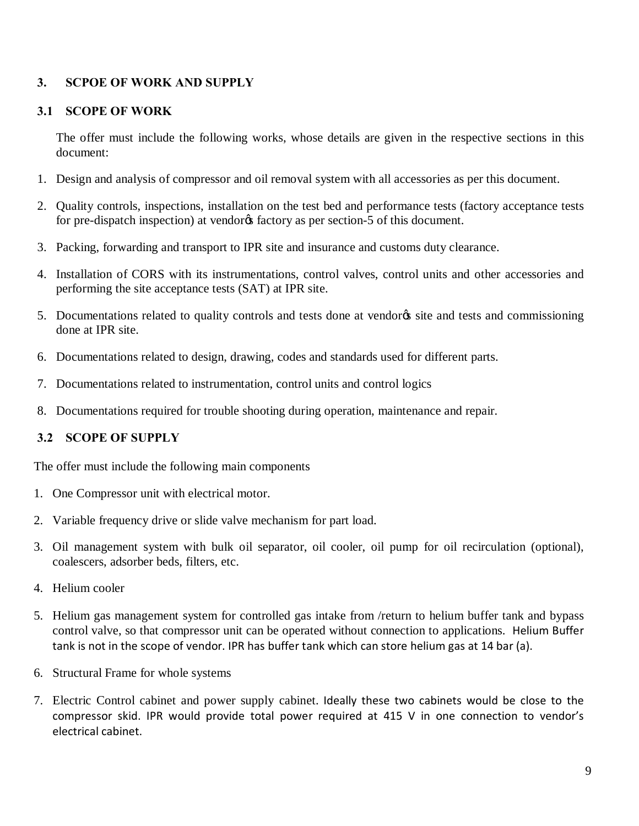#### **3. SCPOE OF WORK AND SUPPLY**

#### **3.1 SCOPE OF WORK**

The offer must include the following works, whose details are given in the respective sections in this document:

- 1. Design and analysis of compressor and oil removal system with all accessories as per this document.
- 2. Quality controls, inspections, installation on the test bed and performance tests (factory acceptance tests for pre-dispatch inspection) at vendores factory as per section-5 of this document.
- 3. Packing, forwarding and transport to IPR site and insurance and customs duty clearance.
- 4. Installation of CORS with its instrumentations, control valves, control units and other accessories and performing the site acceptance tests (SAT) at IPR site.
- 5. Documentations related to quality controls and tests done at vendores site and tests and commissioning done at IPR site.
- 6. Documentations related to design, drawing, codes and standards used for different parts.
- 7. Documentations related to instrumentation, control units and control logics
- 8. Documentations required for trouble shooting during operation, maintenance and repair.

#### **3.2 SCOPE OF SUPPLY**

The offer must include the following main components

- 1. One Compressor unit with electrical motor.
- 2. Variable frequency drive or slide valve mechanism for part load.
- 3. Oil management system with bulk oil separator, oil cooler, oil pump for oil recirculation (optional), coalescers, adsorber beds, filters, etc.
- 4. Helium cooler
- 5. Helium gas management system for controlled gas intake from /return to helium buffer tank and bypass control valve, so that compressor unit can be operated without connection to applications. Helium Buffer tank is not in the scope of vendor. IPR has buffer tank which can store helium gas at 14 bar (a).
- 6. Structural Frame for whole systems
- 7. Electric Control cabinet and power supply cabinet. Ideally these two cabinets would be close to the compressor skid. IPR would provide total power required at 415 V in one connection to vendor's electrical cabinet.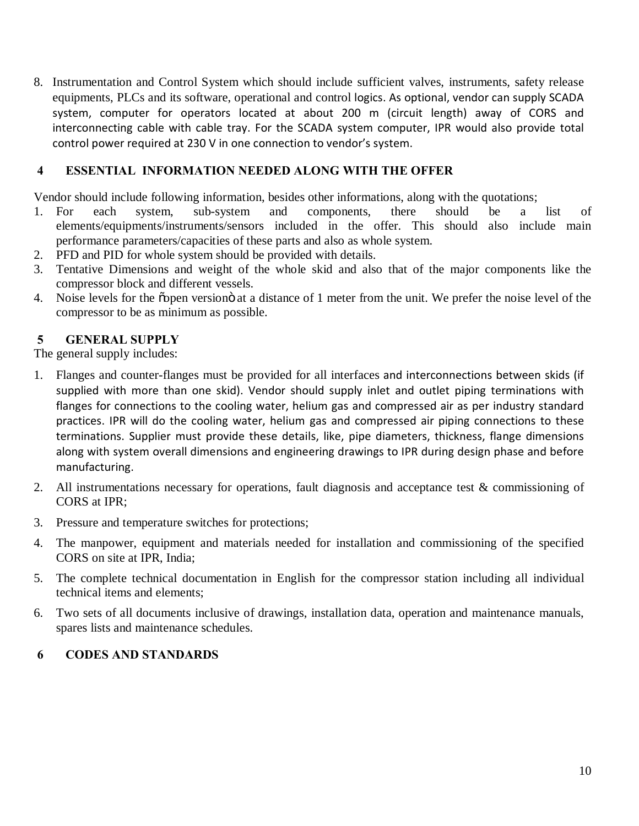8. Instrumentation and Control System which should include sufficient valves, instruments, safety release equipments, PLCs and its software, operational and control logics. As optional, vendor can supply SCADA system, computer for operators located at about 200 m (circuit length) away of CORS and interconnecting cable with cable tray. For the SCADA system computer, IPR would also provide total control power required at 230 V in one connection to vendor's system.

#### **4 ESSENTIAL INFORMATION NEEDED ALONG WITH THE OFFER**

Vendor should include following information, besides other informations, along with the quotations;

- 1. For each system, sub-system and components, there should be a list of elements/equipments/instruments/sensors included in the offer. This should also include main performance parameters/capacities of these parts and also as whole system.
- 2. PFD and PID for whole system should be provided with details.
- 3. Tentative Dimensions and weight of the whole skid and also that of the major components like the compressor block and different vessels.
- 4. Noise levels for the õpen version at a distance of 1 meter from the unit. We prefer the noise level of the compressor to be as minimum as possible.

#### **5 GENERAL SUPPLY**

The general supply includes:

- 1. Flanges and counter-flanges must be provided for all interfaces and interconnections between skids (if supplied with more than one skid). Vendor should supply inlet and outlet piping terminations with flanges for connections to the cooling water, helium gas and compressed air as per industry standard practices. IPR will do the cooling water, helium gas and compressed air piping connections to these terminations. Supplier must provide these details, like, pipe diameters, thickness, flange dimensions along with system overall dimensions and engineering drawings to IPR during design phase and before manufacturing.
- 2. All instrumentations necessary for operations, fault diagnosis and acceptance test & commissioning of CORS at IPR;
- 3. Pressure and temperature switches for protections;
- 4. The manpower, equipment and materials needed for installation and commissioning of the specified CORS on site at IPR, India;
- 5. The complete technical documentation in English for the compressor station including all individual technical items and elements;
- 6. Two sets of all documents inclusive of drawings, installation data, operation and maintenance manuals, spares lists and maintenance schedules.

#### **6 CODES AND STANDARDS**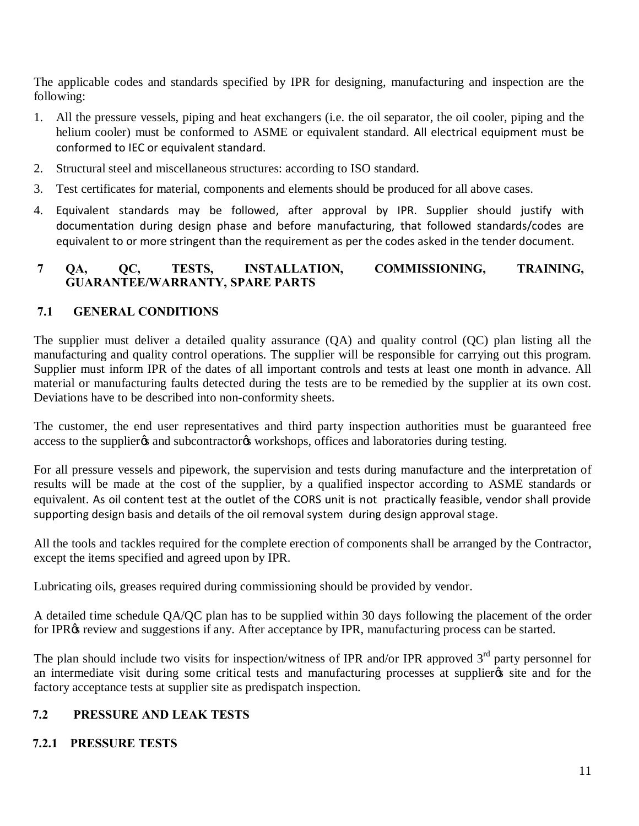The applicable codes and standards specified by IPR for designing, manufacturing and inspection are the following:

- 1. All the pressure vessels, piping and heat exchangers (i.e. the oil separator, the oil cooler, piping and the helium cooler) must be conformed to ASME or equivalent standard. All electrical equipment must be conformed to IEC or equivalent standard.
- 2. Structural steel and miscellaneous structures: according to ISO standard.
- 3. Test certificates for material, components and elements should be produced for all above cases.
- 4. Equivalent standards may be followed, after approval by IPR. Supplier should justify with documentation during design phase and before manufacturing, that followed standards/codes are equivalent to or more stringent than the requirement as per the codes asked in the tender document.

#### **7 QA, QC, TESTS, INSTALLATION, COMMISSIONING, TRAINING, GUARANTEE/WARRANTY, SPARE PARTS**

#### **7.1 GENERAL CONDITIONS**

The supplier must deliver a detailed quality assurance (QA) and quality control (QC) plan listing all the manufacturing and quality control operations. The supplier will be responsible for carrying out this program. Supplier must inform IPR of the dates of all important controls and tests at least one month in advance. All material or manufacturing faults detected during the tests are to be remedied by the supplier at its own cost. Deviations have to be described into non-conformity sheets.

The customer, the end user representatives and third party inspection authorities must be guaranteed free access to the supplier  $\alpha$  and subcontractor  $\alpha$  workshops, offices and laboratories during testing.

For all pressure vessels and pipework, the supervision and tests during manufacture and the interpretation of results will be made at the cost of the supplier, by a qualified inspector according to ASME standards or equivalent. As oil content test at the outlet of the CORS unit is not practically feasible, vendor shall provide supporting design basis and details of the oil removal system during design approval stage.

All the tools and tackles required for the complete erection of components shall be arranged by the Contractor, except the items specified and agreed upon by IPR.

Lubricating oils, greases required during commissioning should be provided by vendor.

A detailed time schedule QA/QC plan has to be supplied within 30 days following the placement of the order for IPR $\alpha$  review and suggestions if any. After acceptance by IPR, manufacturing process can be started.

The plan should include two visits for inspection/witness of IPR and/or IPR approved  $3<sup>rd</sup>$  party personnel for an intermediate visit during some critical tests and manufacturing processes at supplier  $\alpha$  site and for the factory acceptance tests at supplier site as predispatch inspection.

#### **7.2 PRESSURE AND LEAK TESTS**

#### **7.2.1 PRESSURE TESTS**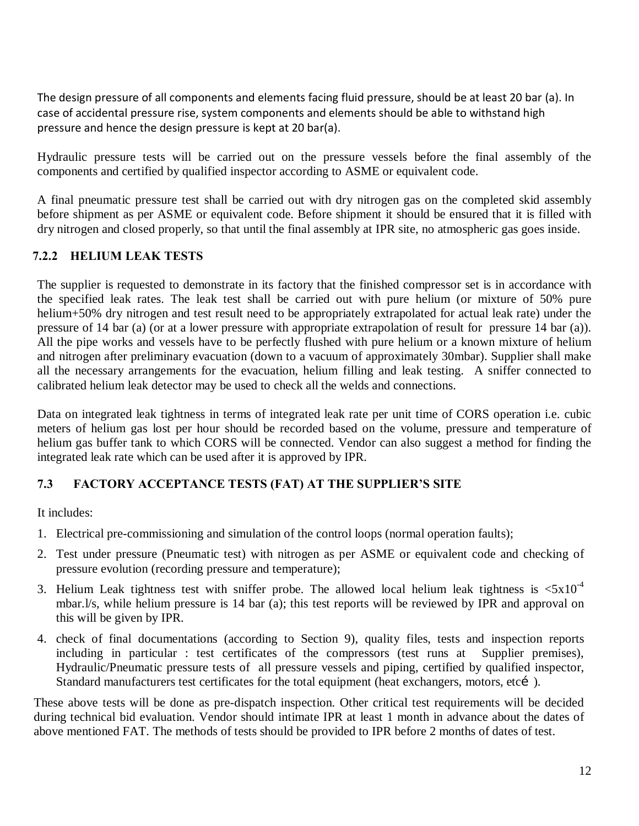The design pressure of all components and elements facing fluid pressure, should be at least 20 bar (a). In case of accidental pressure rise, system components and elements should be able to withstand high pressure and hence the design pressure is kept at 20 bar(a).

Hydraulic pressure tests will be carried out on the pressure vessels before the final assembly of the components and certified by qualified inspector according to ASME or equivalent code.

A final pneumatic pressure test shall be carried out with dry nitrogen gas on the completed skid assembly before shipment as per ASME or equivalent code. Before shipment it should be ensured that it is filled with dry nitrogen and closed properly, so that until the final assembly at IPR site, no atmospheric gas goes inside.

#### **7.2.2 HELIUM LEAK TESTS**

The supplier is requested to demonstrate in its factory that the finished compressor set is in accordance with the specified leak rates. The leak test shall be carried out with pure helium (or mixture of 50% pure helium+50% dry nitrogen and test result need to be appropriately extrapolated for actual leak rate) under the pressure of 14 bar (a) (or at a lower pressure with appropriate extrapolation of result for pressure 14 bar (a)). All the pipe works and vessels have to be perfectly flushed with pure helium or a known mixture of helium and nitrogen after preliminary evacuation (down to a vacuum of approximately 30mbar). Supplier shall make all the necessary arrangements for the evacuation, helium filling and leak testing. A sniffer connected to calibrated helium leak detector may be used to check all the welds and connections.

Data on integrated leak tightness in terms of integrated leak rate per unit time of CORS operation i.e. cubic meters of helium gas lost per hour should be recorded based on the volume, pressure and temperature of helium gas buffer tank to which CORS will be connected. Vendor can also suggest a method for finding the integrated leak rate which can be used after it is approved by IPR.

#### **7.3 FACTORY ACCEPTANCE TESTS (FAT) AT THE SUPPLIER'S SITE**

It includes:

- 1. Electrical pre-commissioning and simulation of the control loops (normal operation faults);
- 2. Test under pressure (Pneumatic test) with nitrogen as per ASME or equivalent code and checking of pressure evolution (recording pressure and temperature);
- 3. Helium Leak tightness test with sniffer probe. The allowed local helium leak tightness is  $\langle 5x10^{-4}$ mbar.l/s, while helium pressure is 14 bar (a); this test reports will be reviewed by IPR and approval on this will be given by IPR.
- 4. check of final documentations (according to Section 9), quality files, tests and inspection reports including in particular : test certificates of the compressors (test runs at Supplier premises), Hydraulic/Pneumatic pressure tests of all pressure vessels and piping, certified by qualified inspector, Standard manufacturers test certificates for the total equipment (heat exchangers, motors, etcí).

These above tests will be done as pre-dispatch inspection. Other critical test requirements will be decided during technical bid evaluation. Vendor should intimate IPR at least 1 month in advance about the dates of above mentioned FAT. The methods of tests should be provided to IPR before 2 months of dates of test.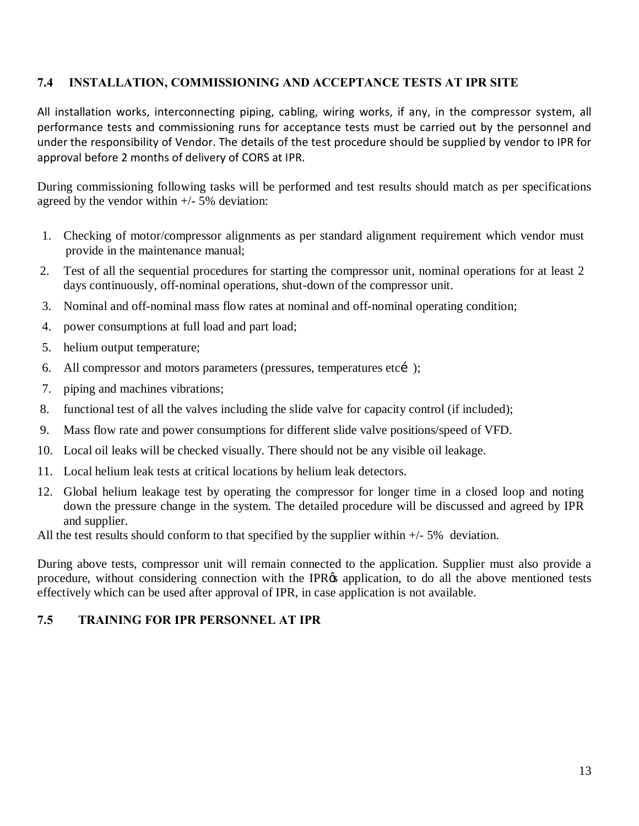#### **7.4 INSTALLATION, COMMISSIONING AND ACCEPTANCE TESTS AT IPR SITE**

All installation works, interconnecting piping, cabling, wiring works, if any, in the compressor system, all performance tests and commissioning runs for acceptance tests must be carried out by the personnel and under the responsibility of Vendor. The details of the test procedure should be supplied by vendor to IPR for approval before 2 months of delivery of CORS at IPR.

During commissioning following tasks will be performed and test results should match as per specifications agreed by the vendor within +/- 5% deviation:

- 1. Checking of motor/compressor alignments as per standard alignment requirement which vendor must provide in the maintenance manual;
- 2. Test of all the sequential procedures for starting the compressor unit, nominal operations for at least 2 days continuously, off-nominal operations, shut-down of the compressor unit.
- 3. Nominal and off-nominal mass flow rates at nominal and off-nominal operating condition;
- 4. power consumptions at full load and part load;
- 5. helium output temperature;
- 6. All compressor and motors parameters (pressures, temperatures etcí);
- 7. piping and machines vibrations;
- 8. functional test of all the valves including the slide valve for capacity control (if included);
- 9. Mass flow rate and power consumptions for different slide valve positions/speed of VFD.
- 10. Local oil leaks will be checked visually. There should not be any visible oil leakage.
- 11. Local helium leak tests at critical locations by helium leak detectors.
- 12. Global helium leakage test by operating the compressor for longer time in a closed loop and noting down the pressure change in the system. The detailed procedure will be discussed and agreed by IPR and supplier.

All the test results should conform to that specified by the supplier within  $+/-5\%$  deviation.

During above tests, compressor unit will remain connected to the application. Supplier must also provide a procedure, without considering connection with the IPR $\alpha$  application, to do all the above mentioned tests effectively which can be used after approval of IPR, in case application is not available.

#### **7.5 TRAINING FOR IPR PERSONNEL AT IPR**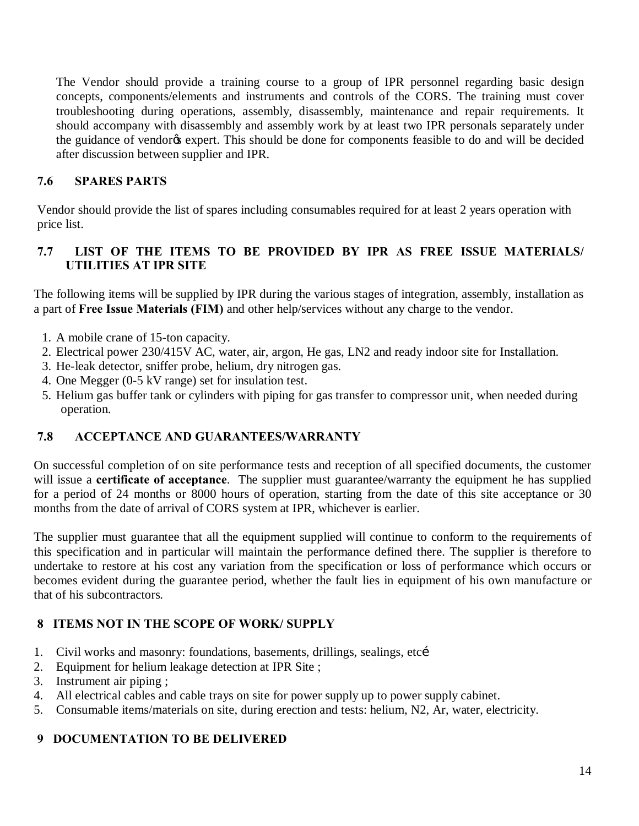The Vendor should provide a training course to a group of IPR personnel regarding basic design concepts, components/elements and instruments and controls of the CORS. The training must cover troubleshooting during operations, assembly, disassembly, maintenance and repair requirements. It should accompany with disassembly and assembly work by at least two IPR personals separately under the guidance of vendor<sub> $\&$ </sub> expert. This should be done for components feasible to do and will be decided after discussion between supplier and IPR.

#### **7.6 SPARES PARTS**

Vendor should provide the list of spares including consumables required for at least 2 years operation with price list.

#### **7.7 LIST OF THE ITEMS TO BE PROVIDED BY IPR AS FREE ISSUE MATERIALS/ UTILITIES AT IPR SITE**

The following items will be supplied by IPR during the various stages of integration, assembly, installation as a part of **Free Issue Materials (FIM)** and other help/services without any charge to the vendor.

- 1. A mobile crane of 15-ton capacity.
- 2. Electrical power 230/415V AC, water, air, argon, He gas, LN2 and ready indoor site for Installation.
- 3. He-leak detector, sniffer probe, helium, dry nitrogen gas.
- 4. One Megger (0-5 kV range) set for insulation test.
- 5. Helium gas buffer tank or cylinders with piping for gas transfer to compressor unit, when needed during operation.

#### **7.8 ACCEPTANCE AND GUARANTEES/WARRANTY**

On successful completion of on site performance tests and reception of all specified documents, the customer will issue a **certificate of acceptance**. The supplier must guarantee/warranty the equipment he has supplied for a period of 24 months or 8000 hours of operation, starting from the date of this site acceptance or 30 months from the date of arrival of CORS system at IPR, whichever is earlier.

The supplier must guarantee that all the equipment supplied will continue to conform to the requirements of this specification and in particular will maintain the performance defined there. The supplier is therefore to undertake to restore at his cost any variation from the specification or loss of performance which occurs or becomes evident during the guarantee period, whether the fault lies in equipment of his own manufacture or that of his subcontractors.

#### **8 ITEMS NOT IN THE SCOPE OF WORK/ SUPPLY**

- 1. Civil works and masonry: foundations, basements, drillings, sealings, etci
- 2. Equipment for helium leakage detection at IPR Site ;
- 3. Instrument air piping ;
- 4. All electrical cables and cable trays on site for power supply up to power supply cabinet.
- 5. Consumable items/materials on site, during erection and tests: helium, N2, Ar, water, electricity.

#### **9 DOCUMENTATION TO BE DELIVERED**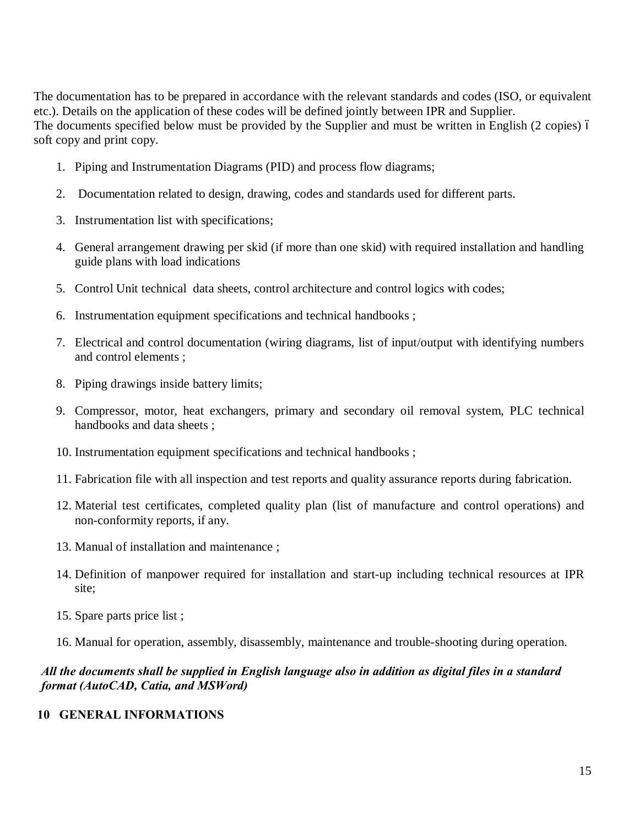The documentation has to be prepared in accordance with the relevant standards and codes (ISO, or equivalent etc.). Details on the application of these codes will be defined jointly between IPR and Supplier. The documents specified below must be provided by the Supplier and must be written in English (2 copies) 6 soft copy and print copy.

- 1. Piping and Instrumentation Diagrams (PID) and process flow diagrams;
- 2. Documentation related to design, drawing, codes and standards used for different parts.
- 3. Instrumentation list with specifications;
- 4. General arrangement drawing per skid (if more than one skid) with required installation and handling guide plans with load indications
- 5. Control Unit technical data sheets, control architecture and control logics with codes;
- 6. Instrumentation equipment specifications and technical handbooks ;
- 7. Electrical and control documentation (wiring diagrams, list of input/output with identifying numbers and control elements ;
- 8. Piping drawings inside battery limits;
- 9. Compressor, motor, heat exchangers, primary and secondary oil removal system, PLC technical handbooks and data sheets ;
- 10. Instrumentation equipment specifications and technical handbooks ;
- 11. Fabrication file with all inspection and test reports and quality assurance reports during fabrication.
- 12. Material test certificates, completed quality plan (list of manufacture and control operations) and non-conformity reports, if any.
- 13. Manual of installation and maintenance ;
- 14. Definition of manpower required for installation and start-up including technical resources at IPR site;
- 15. Spare parts price list ;
- 16. Manual for operation, assembly, disassembly, maintenance and trouble-shooting during operation.

#### *All the documents shall be supplied in English language also in addition as digital files in a standard format (AutoCAD, Catia, and MSWord)*

#### **10 GENERAL INFORMATIONS**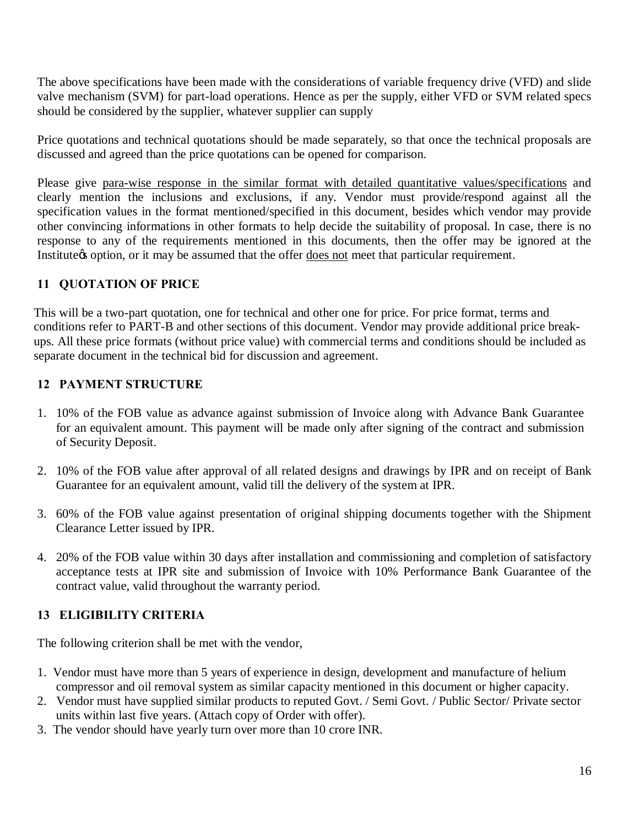The above specifications have been made with the considerations of variable frequency drive (VFD) and slide valve mechanism (SVM) for part-load operations. Hence as per the supply, either VFD or SVM related specs should be considered by the supplier, whatever supplier can supply

Price quotations and technical quotations should be made separately, so that once the technical proposals are discussed and agreed than the price quotations can be opened for comparison.

Please give para-wise response in the similar format with detailed quantitative values/specifications and clearly mention the inclusions and exclusions, if any. Vendor must provide/respond against all the specification values in the format mentioned/specified in this document, besides which vendor may provide other convincing informations in other formats to help decide the suitability of proposal. In case, there is no response to any of the requirements mentioned in this documents, then the offer may be ignored at the Institute that option, or it may be assumed that the offer does not meet that particular requirement.

#### **11 QUOTATION OF PRICE**

This will be a two-part quotation, one for technical and other one for price. For price format, terms and conditions refer to PART-B and other sections of this document. Vendor may provide additional price breakups. All these price formats (without price value) with commercial terms and conditions should be included as separate document in the technical bid for discussion and agreement.

#### **12 PAYMENT STRUCTURE**

- 1. 10% of the FOB value as advance against submission of Invoice along with Advance Bank Guarantee for an equivalent amount. This payment will be made only after signing of the contract and submission of Security Deposit.
- 2. 10% of the FOB value after approval of all related designs and drawings by IPR and on receipt of Bank Guarantee for an equivalent amount, valid till the delivery of the system at IPR.
- 3. 60% of the FOB value against presentation of original shipping documents together with the Shipment Clearance Letter issued by IPR.
- 4. 20% of the FOB value within 30 days after installation and commissioning and completion of satisfactory acceptance tests at IPR site and submission of Invoice with 10% Performance Bank Guarantee of the contract value, valid throughout the warranty period.

#### **13 ELIGIBILITY CRITERIA**

The following criterion shall be met with the vendor,

- 1. Vendor must have more than 5 years of experience in design, development and manufacture of helium compressor and oil removal system as similar capacity mentioned in this document or higher capacity.
- 2. Vendor must have supplied similar products to reputed Govt. / Semi Govt. / Public Sector/ Private sector units within last five years. (Attach copy of Order with offer).
- 3. The vendor should have yearly turn over more than 10 crore INR.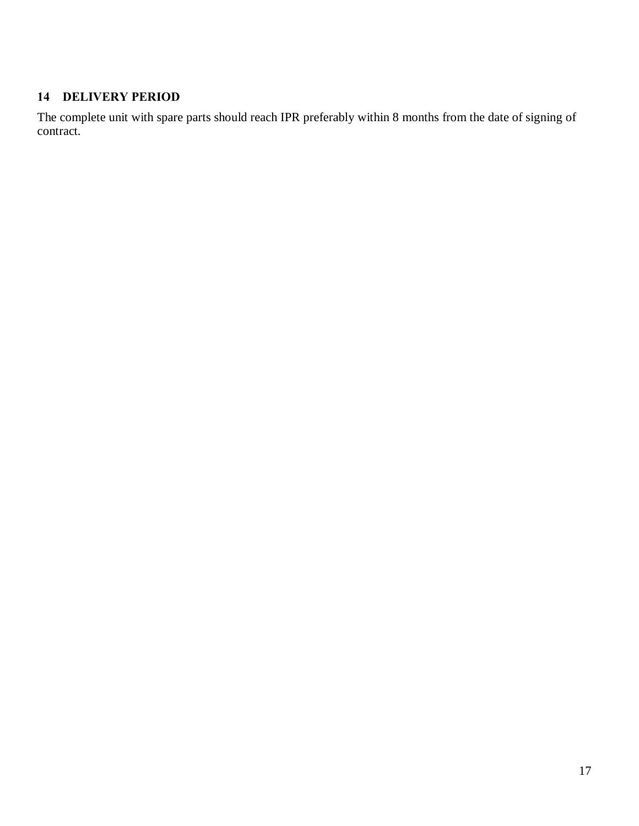#### **14 DELIVERY PERIOD**

The complete unit with spare parts should reach IPR preferably within 8 months from the date of signing of contract.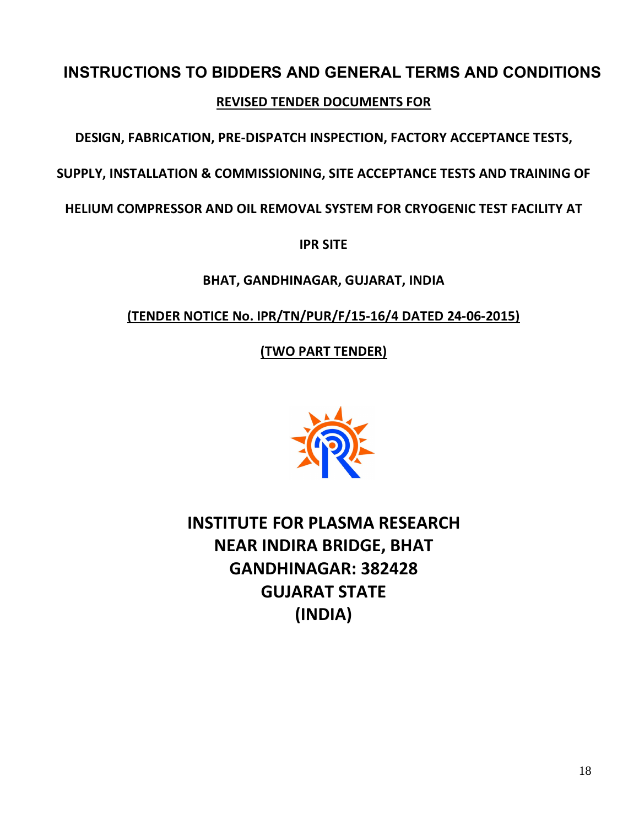# **INSTRUCTIONS TO BIDDERS AND GENERAL TERMS AND CONDITIONS**

**REVISED TENDER DOCUMENTS FOR**

**DESIGN, FABRICATION, PRE-DISPATCH INSPECTION, FACTORY ACCEPTANCE TESTS,** 

**SUPPLY, INSTALLATION & COMMISSIONING, SITE ACCEPTANCE TESTS AND TRAINING OF** 

**HELIUM COMPRESSOR AND OIL REMOVAL SYSTEM FOR CRYOGENIC TEST FACILITY AT** 

**IPR SITE**

**BHAT, GANDHINAGAR, GUJARAT, INDIA**

**(TENDER NOTICE No. IPR/TN/PUR/F/15-16/4 DATED 24-06-2015)**

**(TWO PART TENDER)**



**INSTITUTE FOR PLASMA RESEARCH NEAR INDIRA BRIDGE, BHAT GANDHINAGAR: 382428 GUJARAT STATE (INDIA)**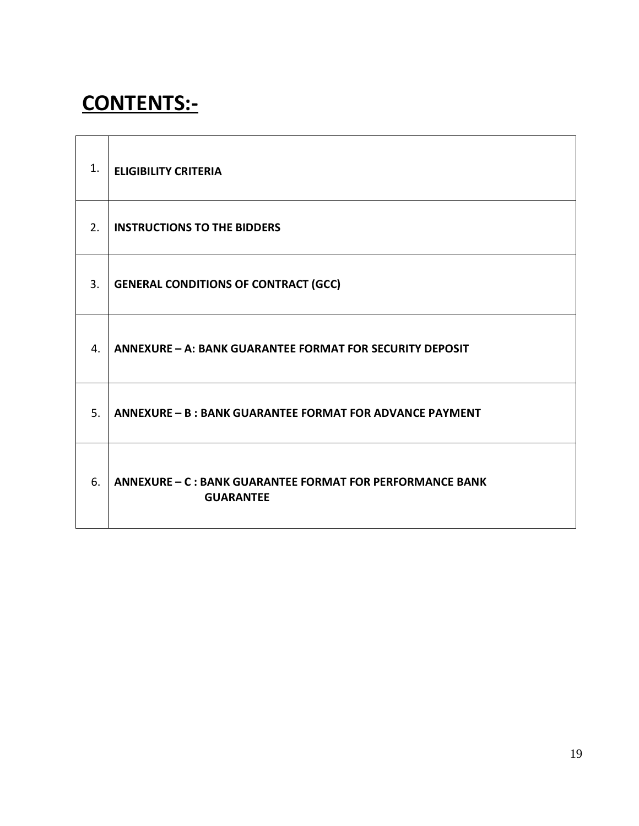## **CONTENTS:-**

| 1. | <b>ELIGIBILITY CRITERIA</b>                                                          |
|----|--------------------------------------------------------------------------------------|
| 2. | <b>INSTRUCTIONS TO THE BIDDERS</b>                                                   |
| 3. | <b>GENERAL CONDITIONS OF CONTRACT (GCC)</b>                                          |
| 4. | <b>ANNEXURE - A: BANK GUARANTEE FORMAT FOR SECURITY DEPOSIT</b>                      |
| 5. | ANNEXURE - B : BANK GUARANTEE FORMAT FOR ADVANCE PAYMENT                             |
| 6. | <b>ANNEXURE - C : BANK GUARANTEE FORMAT FOR PERFORMANCE BANK</b><br><b>GUARANTEE</b> |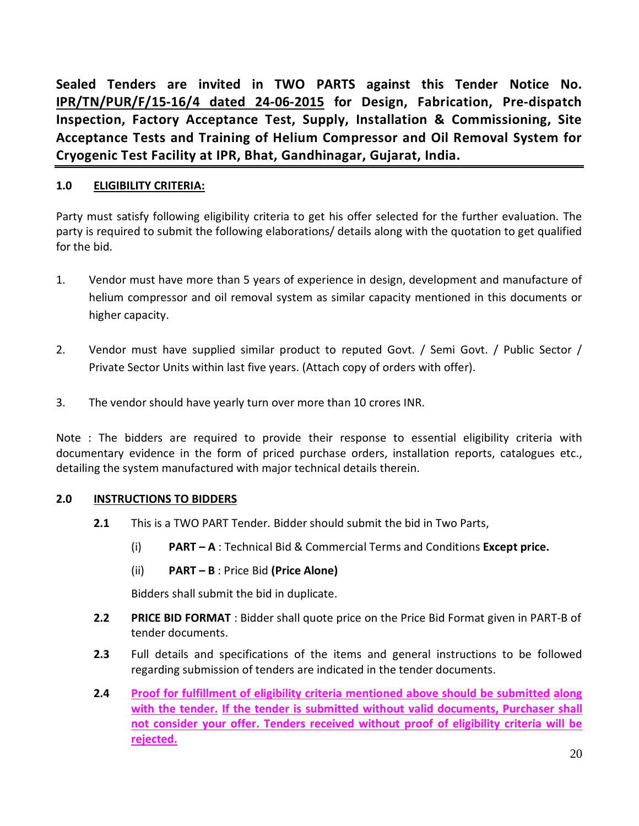**Sealed Tenders are invited in TWO PARTS against this Tender Notice No. IPR/TN/PUR/F/15-16/4 dated 24-06-2015 for Design, Fabrication, Pre-dispatch Inspection, Factory Acceptance Test, Supply, Installation & Commissioning, Site Acceptance Tests and Training of Helium Compressor and Oil Removal System for Cryogenic Test Facility at IPR, Bhat, Gandhinagar, Gujarat, India.**

#### **1.0 ELIGIBILITY CRITERIA:**

Party must satisfy following eligibility criteria to get his offer selected for the further evaluation. The party is required to submit the following elaborations/ details along with the quotation to get qualified for the bid.

- 1. Vendor must have more than 5 years of experience in design, development and manufacture of helium compressor and oil removal system as similar capacity mentioned in this documents or higher capacity.
- 2. Vendor must have supplied similar product to reputed Govt. / Semi Govt. / Public Sector / Private Sector Units within last five years. (Attach copy of orders with offer).
- 3. The vendor should have yearly turn over more than 10 crores INR.

Note : The bidders are required to provide their response to essential eligibility criteria with documentary evidence in the form of priced purchase orders, installation reports, catalogues etc., detailing the system manufactured with major technical details therein.

#### **2.0 INSTRUCTIONS TO BIDDERS**

- **2.1** This is a TWO PART Tender. Bidder should submit the bid in Two Parts,
	- (i) **PART – A** : Technical Bid & Commercial Terms and Conditions **Except price.**
	- (ii) **PART – B** : Price Bid **(Price Alone)**

Bidders shall submit the bid in duplicate.

- **2.2 PRICE BID FORMAT** : Bidder shall quote price on the Price Bid Format given in PART-B of tender documents.
- **2.3** Full details and specifications of the items and general instructions to be followed regarding submission of tenders are indicated in the tender documents.
- **2.4 Proof for fulfillment of eligibility criteria mentioned above should be submitted along with the tender. If the tender is submitted without valid documents, Purchaser shall not consider your offer. Tenders received without proof of eligibility criteria will be rejected.**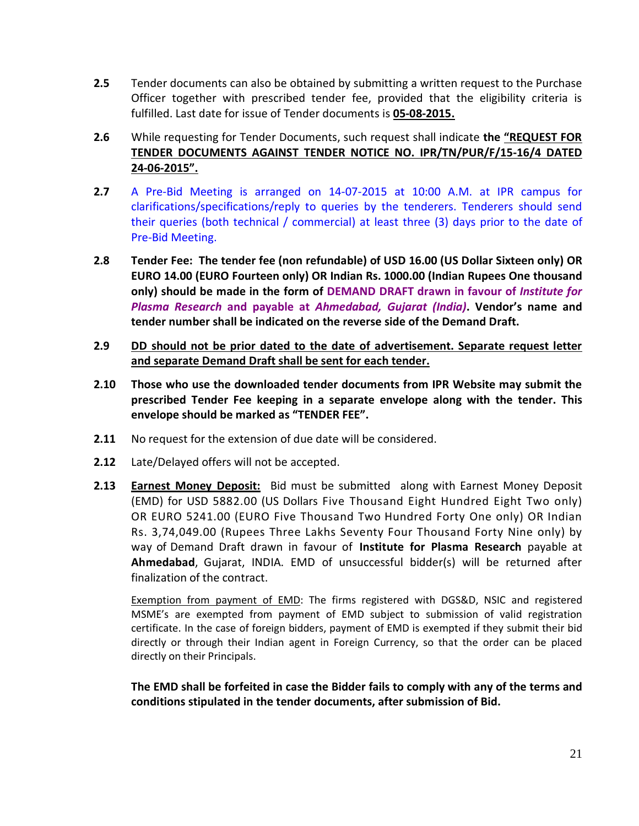- **2.5** Tender documents can also be obtained by submitting a written request to the Purchase Officer together with prescribed tender fee, provided that the eligibility criteria is fulfilled. Last date for issue of Tender documents is **05-08-2015.**
- **2.6** While requesting for Tender Documents, such request shall indicate **the "REQUEST FOR TENDER DOCUMENTS AGAINST TENDER NOTICE NO. IPR/TN/PUR/F/15-16/4 DATED 24-06-2015".**
- **2.7** A Pre-Bid Meeting is arranged on 14-07-2015 at 10:00 A.M. at IPR campus for clarifications/specifications/reply to queries by the tenderers. Tenderers should send their queries (both technical / commercial) at least three (3) days prior to the date of Pre-Bid Meeting.
- **2.8 Tender Fee: The tender fee (non refundable) of USD 16.00 (US Dollar Sixteen only) OR EURO 14.00 (EURO Fourteen only) OR Indian Rs. 1000.00 (Indian Rupees One thousand only) should be made in the form of DEMAND DRAFT drawn in favour of** *Institute for Plasma Research* **and payable at** *Ahmedabad, Gujarat (India)***. Vendor's name and tender number shall be indicated on the reverse side of the Demand Draft.**
- **2.9 DD should not be prior dated to the date of advertisement. Separate request letter and separate Demand Draft shall be sent for each tender.**
- **2.10 Those who use the downloaded tender documents from IPR Website may submit the prescribed Tender Fee keeping in a separate envelope along with the tender. This envelope should be marked as "TENDER FEE".**
- **2.11** No request for the extension of due date will be considered.
- **2.12** Late/Delayed offers will not be accepted.
- **2.13 Earnest Money Deposit:** Bid must be submitted along with Earnest Money Deposit (EMD) for USD 5882.00 (US Dollars Five Thousand Eight Hundred Eight Two only) OR EURO 5241.00 (EURO Five Thousand Two Hundred Forty One only) OR Indian Rs. 3,74,049.00 (Rupees Three Lakhs Seventy Four Thousand Forty Nine only) by way of Demand Draft drawn in favour of **Institute for Plasma Research** payable at **Ahmedabad**, Gujarat, INDIA. EMD of unsuccessful bidder(s) will be returned after finalization of the contract.

Exemption from payment of EMD: The firms registered with DGS&D, NSIC and registered MSME's are exempted from payment of EMD subject to submission of valid registration certificate. In the case of foreign bidders, payment of EMD is exempted if they submit their bid directly or through their Indian agent in Foreign Currency, so that the order can be placed directly on their Principals.

**The EMD shall be forfeited in case the Bidder fails to comply with any of the terms and conditions stipulated in the tender documents, after submission of Bid.**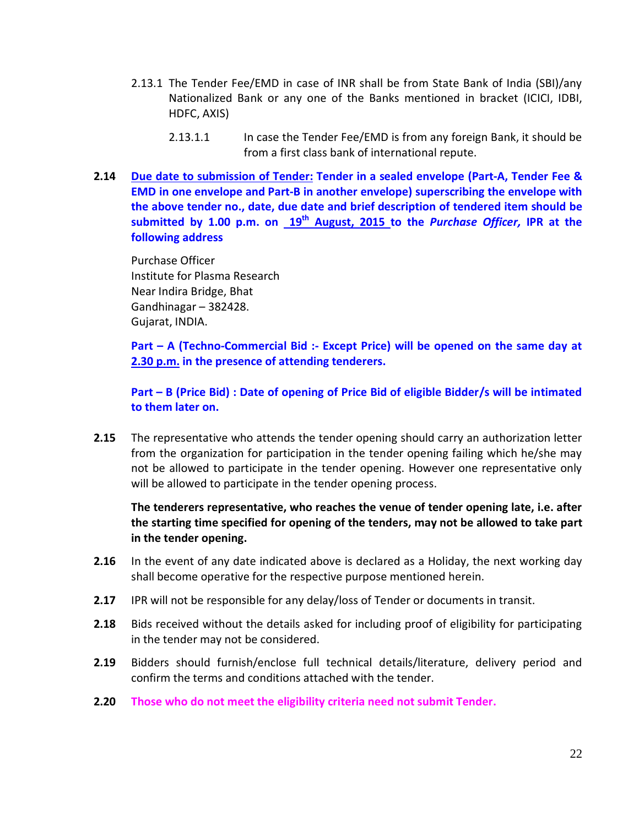- 2.13.1 The Tender Fee/EMD in case of INR shall be from State Bank of India (SBI)/any Nationalized Bank or any one of the Banks mentioned in bracket (ICICI, IDBI, HDFC, AXIS)
	- 2.13.1.1 In case the Tender Fee/EMD is from any foreign Bank, it should be from a first class bank of international repute.
- **2.14 Due date to submission of Tender: Tender in a sealed envelope (Part-A, Tender Fee & EMD in one envelope and Part-B in another envelope) superscribing the envelope with the above tender no., date, due date and brief description of tendered item should be submitted by 1.00 p.m. on 19th August, 2015 to the** *Purchase Officer,* **IPR at the following address**

Purchase Officer Institute for Plasma Research Near Indira Bridge, Bhat Gandhinagar – 382428. Gujarat, INDIA.

**Part – A (Techno-Commercial Bid :- Except Price) will be opened on the same day at 2.30 p.m. in the presence of attending tenderers.**

**Part – B (Price Bid) : Date of opening of Price Bid of eligible Bidder/s will be intimated to them later on.**

**2.15** The representative who attends the tender opening should carry an authorization letter from the organization for participation in the tender opening failing which he/she may not be allowed to participate in the tender opening. However one representative only will be allowed to participate in the tender opening process.

#### **The tenderers representative, who reaches the venue of tender opening late, i.e. after the starting time specified for opening of the tenders, may not be allowed to take part in the tender opening.**

- **2.16** In the event of any date indicated above is declared as a Holiday, the next working day shall become operative for the respective purpose mentioned herein.
- **2.17** IPR will not be responsible for any delay/loss of Tender or documents in transit.
- **2.18** Bids received without the details asked for including proof of eligibility for participating in the tender may not be considered.
- **2.19** Bidders should furnish/enclose full technical details/literature, delivery period and confirm the terms and conditions attached with the tender.
- **2.20 Those who do not meet the eligibility criteria need not submit Tender.**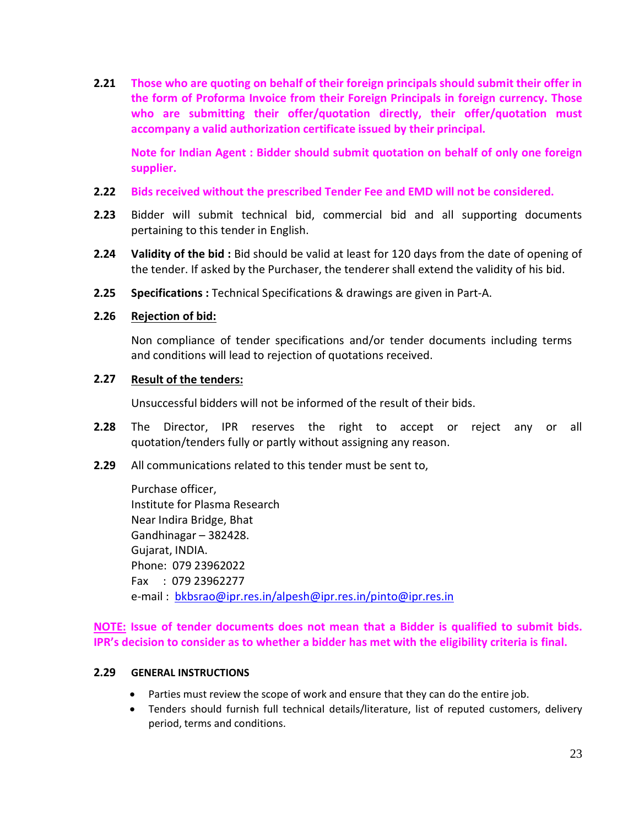**2.21 Those who are quoting on behalf of their foreign principals should submit their offer in the form of Proforma Invoice from their Foreign Principals in foreign currency. Those who are submitting their offer/quotation directly, their offer/quotation must accompany a valid authorization certificate issued by their principal.** 

**Note for Indian Agent : Bidder should submit quotation on behalf of only one foreign supplier.**

- **2.22 Bids received without the prescribed Tender Fee and EMD will not be considered.**
- **2.23** Bidder will submit technical bid, commercial bid and all supporting documents pertaining to this tender in English.
- **2.24 Validity of the bid :** Bid should be valid at least for 120 days from the date of opening of the tender. If asked by the Purchaser, the tenderer shall extend the validity of his bid.
- **2.25 Specifications :** Technical Specifications & drawings are given in Part-A.

#### **2.26 Rejection of bid:**

Non compliance of tender specifications and/or tender documents including terms and conditions will lead to rejection of quotations received.

#### **2.27 Result of the tenders:**

Unsuccessful bidders will not be informed of the result of their bids.

- **2.28** The Director, IPR reserves the right to accept or reject any or all quotation/tenders fully or partly without assigning any reason.
- **2.29** All communications related to this tender must be sent to,

Purchase officer, Institute for Plasma Research Near Indira Bridge, Bhat Gandhinagar – 382428. Gujarat, INDIA. Phone: 079 23962022 Fax : 079 23962277 e-mail : bkbsrao@ipr.res.in/alpesh@ipr.res.in/pinto@ipr.res.in

**NOTE: Issue of tender documents does not mean that a Bidder is qualified to submit bids. IPR's decision to consider as to whether a bidder has met with the eligibility criteria is final.**

#### **2.29 GENERAL INSTRUCTIONS**

- · Parties must review the scope of work and ensure that they can do the entire job.
- · Tenders should furnish full technical details/literature, list of reputed customers, delivery period, terms and conditions.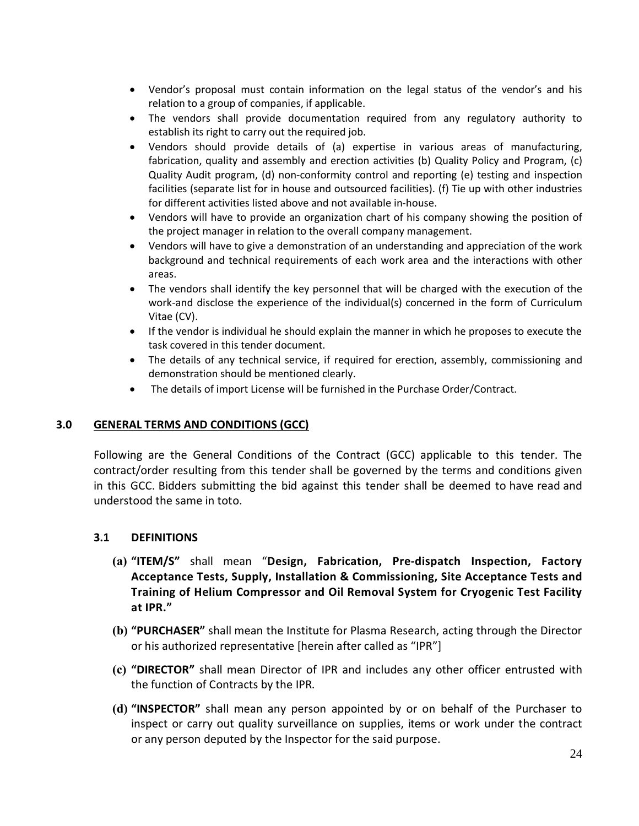- · Vendor's proposal must contain information on the legal status of the vendor's and his relation to a group of companies, if applicable.
- · The vendors shall provide documentation required from any regulatory authority to establish its right to carry out the required job.
- · Vendors should provide details of (a) expertise in various areas of manufacturing, fabrication, quality and assembly and erection activities (b) Quality Policy and Program, (c) Quality Audit program, (d) non-conformity control and reporting (e) testing and inspection facilities (separate list for in house and outsourced facilities). (f) Tie up with other industries for different activities listed above and not available in-house.
- · Vendors will have to provide an organization chart of his company showing the position of the project manager in relation to the overall company management.
- · Vendors will have to give a demonstration of an understanding and appreciation of the work background and technical requirements of each work area and the interactions with other areas.
- · The vendors shall identify the key personnel that will be charged with the execution of the work-and disclose the experience of the individual(s) concerned in the form of Curriculum Vitae (CV).
- · If the vendor is individual he should explain the manner in which he proposes to execute the task covered in this tender document.
- · The details of any technical service, if required for erection, assembly, commissioning and demonstration should be mentioned clearly.
- · The details of import License will be furnished in the Purchase Order/Contract.

#### **3.0 GENERAL TERMS AND CONDITIONS (GCC)**

Following are the General Conditions of the Contract (GCC) applicable to this tender. The contract/order resulting from this tender shall be governed by the terms and conditions given in this GCC. Bidders submitting the bid against this tender shall be deemed to have read and understood the same in toto.

#### **3.1 DEFINITIONS**

- **(a) "ITEM/S"** shall mean "**Design, Fabrication, Pre-dispatch Inspection, Factory Acceptance Tests, Supply, Installation & Commissioning, Site Acceptance Tests and Training of Helium Compressor and Oil Removal System for Cryogenic Test Facility at IPR."**
- **(b) "PURCHASER"** shall mean the Institute for Plasma Research, acting through the Director or his authorized representative [herein after called as "IPR"]
- **(c) "DIRECTOR"** shall mean Director of IPR and includes any other officer entrusted with the function of Contracts by the IPR.
- **(d) "INSPECTOR"** shall mean any person appointed by or on behalf of the Purchaser to inspect or carry out quality surveillance on supplies, items or work under the contract or any person deputed by the Inspector for the said purpose.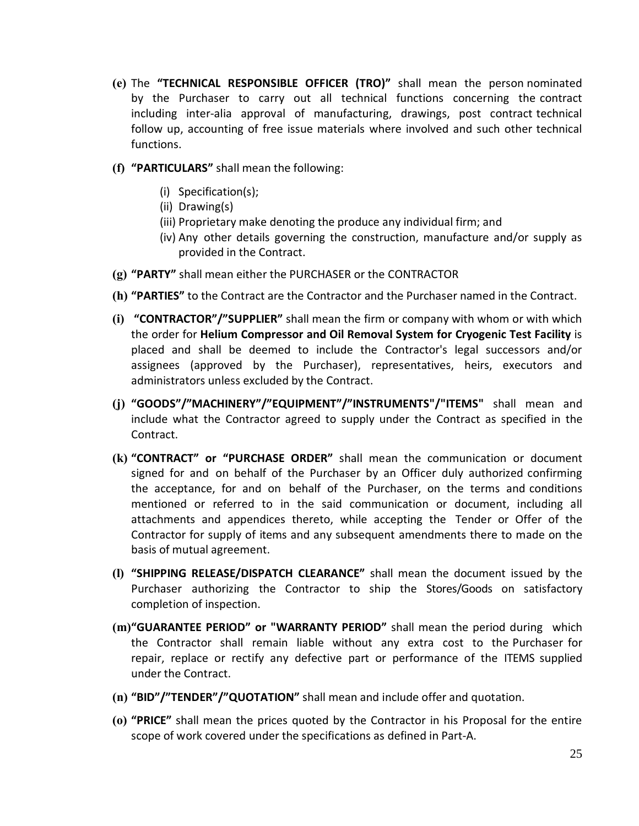- **(e)** The **"TECHNICAL RESPONSIBLE OFFICER (TRO)"** shall mean the person nominated by the Purchaser to carry out all technical functions concerning the contract including inter-alia approval of manufacturing, drawings, post contract technical follow up, accounting of free issue materials where involved and such other technical functions.
- **(f) "PARTICULARS"** shall mean the following:
	- (i) Specification(s);
	- (ii) Drawing(s)
	- (iii) Proprietary make denoting the produce any individual firm; and
	- (iv) Any other details governing the construction, manufacture and/or supply as provided in the Contract.
- **(g) "PARTY"** shall mean either the PURCHASER or the CONTRACTOR
- **(h) "PARTIES"** to the Contract are the Contractor and the Purchaser named in the Contract.
- **(i) "CONTRACTOR"/"SUPPLIER"** shall mean the firm or company with whom or with which the order for **Helium Compressor and Oil Removal System for Cryogenic Test Facility** is placed and shall be deemed to include the Contractor's legal successors and/or assignees (approved by the Purchaser), representatives, heirs, executors and administrators unless excluded by the Contract.
- **(j) "GOODS"/"MACHINERY"/"EQUIPMENT"/"INSTRUMENTS"/"ITEMS"** shall mean and include what the Contractor agreed to supply under the Contract as specified in the Contract.
- **(k) "CONTRACT" or "PURCHASE ORDER"** shall mean the communication or document signed for and on behalf of the Purchaser by an Officer duly authorized confirming the acceptance, for and on behalf of the Purchaser, on the terms and conditions mentioned or referred to in the said communication or document, including all attachments and appendices thereto, while accepting the Tender or Offer of the Contractor for supply of items and any subsequent amendments there to made on the basis of mutual agreement.
- **(l) "SHIPPING RELEASE/DISPATCH CLEARANCE"** shall mean the document issued by the Purchaser authorizing the Contractor to ship the Stores/Goods on satisfactory completion of inspection.
- **(m)"GUARANTEE PERIOD" or "WARRANTY PERIOD"** shall mean the period during which the Contractor shall remain liable without any extra cost to the Purchaser for repair, replace or rectify any defective part or performance of the ITEMS supplied under the Contract.
- **(n) "BID"/"TENDER"/"QUOTATION"** shall mean and include offer and quotation.
- **(o) "PRICE"** shall mean the prices quoted by the Contractor in his Proposal for the entire scope of work covered under the specifications as defined in Part-A.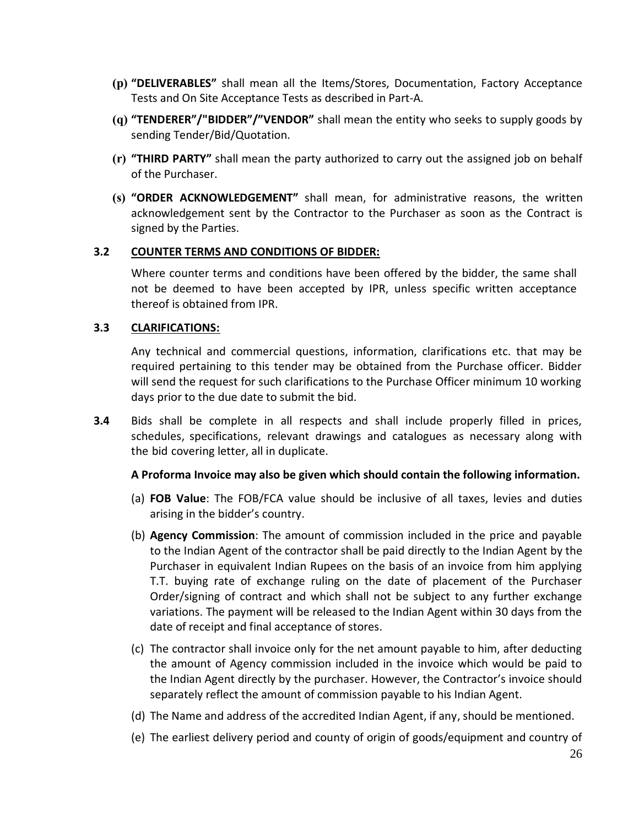- **(p) "DELIVERABLES"** shall mean all the Items/Stores, Documentation, Factory Acceptance Tests and On Site Acceptance Tests as described in Part-A.
- **(q) "TENDERER"/"BIDDER"/"VENDOR"** shall mean the entity who seeks to supply goods by sending Tender/Bid/Quotation.
- **(r) "THIRD PARTY"** shall mean the party authorized to carry out the assigned job on behalf of the Purchaser.
- **(s) "ORDER ACKNOWLEDGEMENT"** shall mean, for administrative reasons, the written acknowledgement sent by the Contractor to the Purchaser as soon as the Contract is signed by the Parties.

#### **3.2 COUNTER TERMS AND CONDITIONS OF BIDDER:**

Where counter terms and conditions have been offered by the bidder, the same shall not be deemed to have been accepted by IPR, unless specific written acceptance thereof is obtained from IPR.

#### **3.3 CLARIFICATIONS:**

Any technical and commercial questions, information, clarifications etc. that may be required pertaining to this tender may be obtained from the Purchase officer. Bidder will send the request for such clarifications to the Purchase Officer minimum 10 working days prior to the due date to submit the bid.

**3.4** Bids shall be complete in all respects and shall include properly filled in prices, schedules, specifications, relevant drawings and catalogues as necessary along with the bid covering letter, all in duplicate.

#### **A Proforma Invoice may also be given which should contain the following information.**

- (a) **FOB Value**: The FOB/FCA value should be inclusive of all taxes, levies and duties arising in the bidder's country.
- (b) **Agency Commission**: The amount of commission included in the price and payable to the Indian Agent of the contractor shall be paid directly to the Indian Agent by the Purchaser in equivalent Indian Rupees on the basis of an invoice from him applying T.T. buying rate of exchange ruling on the date of placement of the Purchaser Order/signing of contract and which shall not be subject to any further exchange variations. The payment will be released to the Indian Agent within 30 days from the date of receipt and final acceptance of stores.
- (c) The contractor shall invoice only for the net amount payable to him, after deducting the amount of Agency commission included in the invoice which would be paid to the Indian Agent directly by the purchaser. However, the Contractor's invoice should separately reflect the amount of commission payable to his Indian Agent.
- (d) The Name and address of the accredited Indian Agent, if any, should be mentioned.
- (e) The earliest delivery period and county of origin of goods/equipment and country of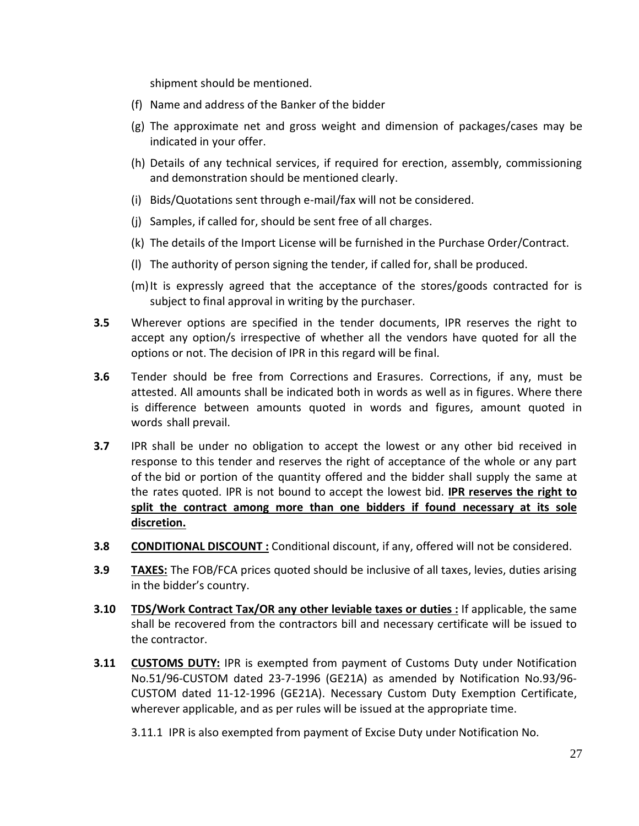shipment should be mentioned.

- (f) Name and address of the Banker of the bidder
- (g) The approximate net and gross weight and dimension of packages/cases may be indicated in your offer.
- (h) Details of any technical services, if required for erection, assembly, commissioning and demonstration should be mentioned clearly.
- (i) Bids/Quotations sent through e-mail/fax will not be considered.
- (j) Samples, if called for, should be sent free of all charges.
- (k) The details of the Import License will be furnished in the Purchase Order/Contract.
- (l) The authority of person signing the tender, if called for, shall be produced.
- $(m)$ It is expressly agreed that the acceptance of the stores/goods contracted for is subject to final approval in writing by the purchaser.
- **3.5** Wherever options are specified in the tender documents, IPR reserves the right to accept any option/s irrespective of whether all the vendors have quoted for all the options or not. The decision of IPR in this regard will be final.
- **3.6** Tender should be free from Corrections and Erasures. Corrections, if any, must be attested. All amounts shall be indicated both in words as well as in figures. Where there is difference between amounts quoted in words and figures, amount quoted in words shall prevail.
- **3.7** IPR shall be under no obligation to accept the lowest or any other bid received in response to this tender and reserves the right of acceptance of the whole or any part of the bid or portion of the quantity offered and the bidder shall supply the same at the rates quoted. IPR is not bound to accept the lowest bid. **IPR reserves the right to split the contract among more than one bidders if found necessary at its sole discretion.**
- **3.8 CONDITIONAL DISCOUNT :** Conditional discount, if any, offered will not be considered.
- **3.9 TAXES:** The FOB/FCA prices quoted should be inclusive of all taxes, levies, duties arising in the bidder's country.
- **3.10 TDS/Work Contract Tax/OR any other leviable taxes or duties :** If applicable, the same shall be recovered from the contractors bill and necessary certificate will be issued to the contractor.
- **3.11 CUSTOMS DUTY:** IPR is exempted from payment of Customs Duty under Notification No.51/96-CUSTOM dated 23-7-1996 (GE21A) as amended by Notification No.93/96- CUSTOM dated 11-12-1996 (GE21A). Necessary Custom Duty Exemption Certificate, wherever applicable, and as per rules will be issued at the appropriate time.

3.11.1 IPR is also exempted from payment of Excise Duty under Notification No.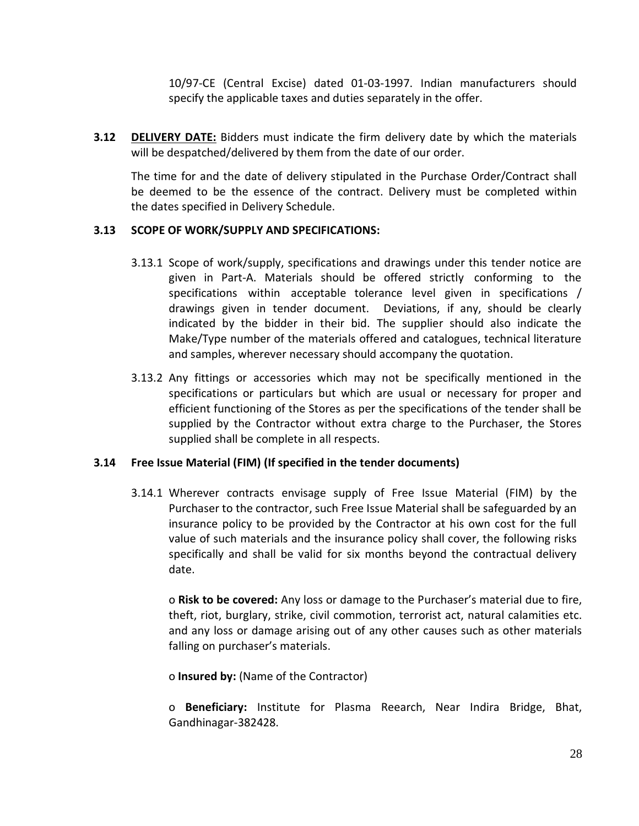10/97-CE (Central Excise) dated 01-03-1997. Indian manufacturers should specify the applicable taxes and duties separately in the offer.

**3.12 DELIVERY DATE:** Bidders must indicate the firm delivery date by which the materials will be despatched/delivered by them from the date of our order.

The time for and the date of delivery stipulated in the Purchase Order/Contract shall be deemed to be the essence of the contract. Delivery must be completed within the dates specified in Delivery Schedule.

#### **3.13 SCOPE OF WORK/SUPPLY AND SPECIFICATIONS:**

- 3.13.1 Scope of work/supply, specifications and drawings under this tender notice are given in Part-A. Materials should be offered strictly conforming to the specifications within acceptable tolerance level given in specifications / drawings given in tender document. Deviations, if any, should be clearly indicated by the bidder in their bid. The supplier should also indicate the Make/Type number of the materials offered and catalogues, technical literature and samples, wherever necessary should accompany the quotation.
- 3.13.2 Any fittings or accessories which may not be specifically mentioned in the specifications or particulars but which are usual or necessary for proper and efficient functioning of the Stores as per the specifications of the tender shall be supplied by the Contractor without extra charge to the Purchaser, the Stores supplied shall be complete in all respects.

#### **3.14 Free Issue Material (FIM) (If specified in the tender documents)**

3.14.1 Wherever contracts envisage supply of Free Issue Material (FIM) by the Purchaser to the contractor, such Free Issue Material shall be safeguarded by an insurance policy to be provided by the Contractor at his own cost for the full value of such materials and the insurance policy shall cover, the following risks specifically and shall be valid for six months beyond the contractual delivery date.

o **Risk to be covered:** Any loss or damage to the Purchaser's material due to fire, theft, riot, burglary, strike, civil commotion, terrorist act, natural calamities etc. and any loss or damage arising out of any other causes such as other materials falling on purchaser's materials.

o **Insured by:** (Name of the Contractor)

o **Beneficiary:** Institute for Plasma Reearch, Near Indira Bridge, Bhat, Gandhinagar-382428.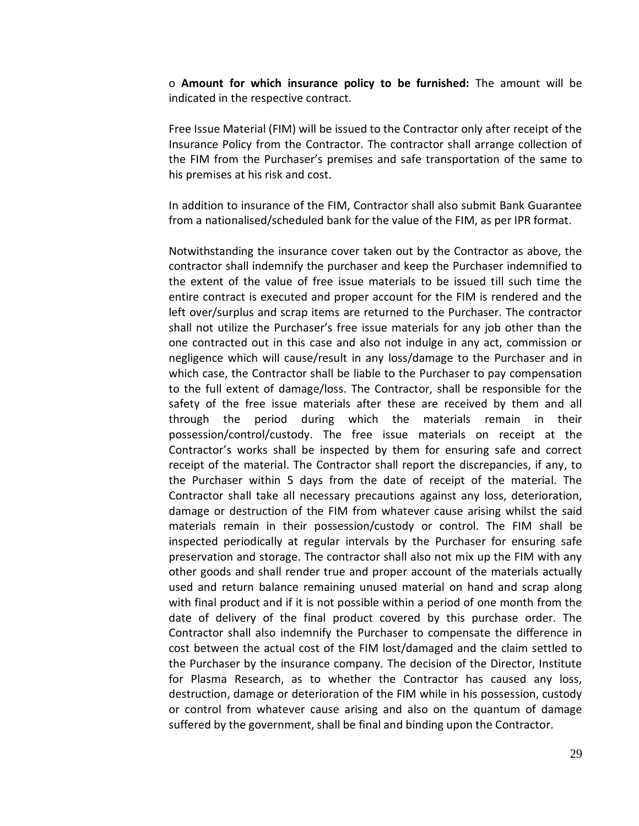o **Amount for which insurance policy to be furnished:** The amount will be indicated in the respective contract.

Free Issue Material (FIM) will be issued to the Contractor only after receipt of the Insurance Policy from the Contractor. The contractor shall arrange collection of the FIM from the Purchaser's premises and safe transportation of the same to his premises at his risk and cost.

In addition to insurance of the FIM, Contractor shall also submit Bank Guarantee from a nationalised/scheduled bank for the value of the FIM, as per IPR format.

Notwithstanding the insurance cover taken out by the Contractor as above, the contractor shall indemnify the purchaser and keep the Purchaser indemnified to the extent of the value of free issue materials to be issued till such time the entire contract is executed and proper account for the FIM is rendered and the left over/surplus and scrap items are returned to the Purchaser. The contractor shall not utilize the Purchaser's free issue materials for any job other than the one contracted out in this case and also not indulge in any act, commission or negligence which will cause/result in any loss/damage to the Purchaser and in which case, the Contractor shall be liable to the Purchaser to pay compensation to the full extent of damage/loss. The Contractor, shall be responsible for the safety of the free issue materials after these are received by them and all through the period during which the materials remain in their possession/control/custody. The free issue materials on receipt at the Contractor's works shall be inspected by them for ensuring safe and correct receipt of the material. The Contractor shall report the discrepancies, if any, to the Purchaser within 5 days from the date of receipt of the material. The Contractor shall take all necessary precautions against any loss, deterioration, damage or destruction of the FIM from whatever cause arising whilst the said materials remain in their possession/custody or control. The FIM shall be inspected periodically at regular intervals by the Purchaser for ensuring safe preservation and storage. The contractor shall also not mix up the FIM with any other goods and shall render true and proper account of the materials actually used and return balance remaining unused material on hand and scrap along with final product and if it is not possible within a period of one month from the date of delivery of the final product covered by this purchase order. The Contractor shall also indemnify the Purchaser to compensate the difference in cost between the actual cost of the FIM lost/damaged and the claim settled to the Purchaser by the insurance company. The decision of the Director, Institute for Plasma Research, as to whether the Contractor has caused any loss, destruction, damage or deterioration of the FIM while in his possession, custody or control from whatever cause arising and also on the quantum of damage suffered by the government, shall be final and binding upon the Contractor.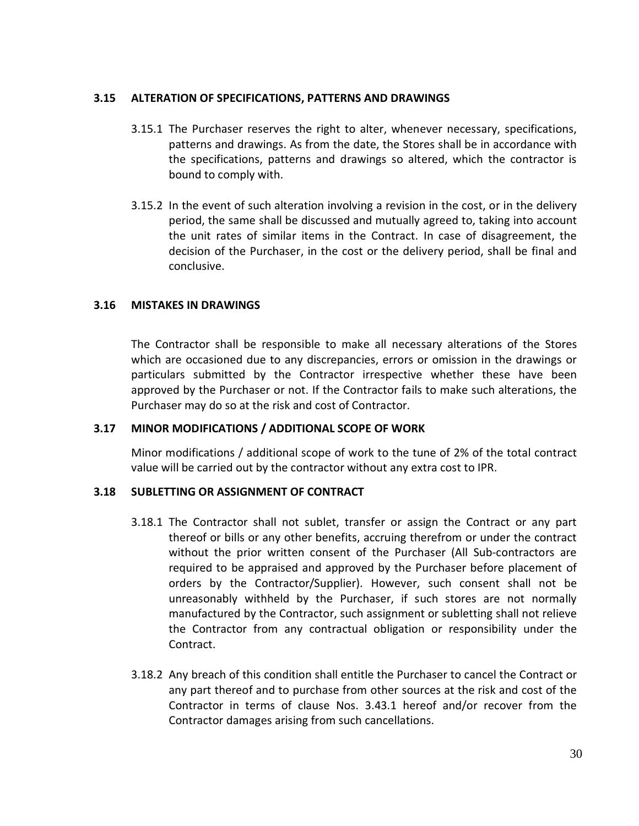#### **3.15 ALTERATION OF SPECIFICATIONS, PATTERNS AND DRAWINGS**

- 3.15.1 The Purchaser reserves the right to alter, whenever necessary, specifications, patterns and drawings. As from the date, the Stores shall be in accordance with the specifications, patterns and drawings so altered, which the contractor is bound to comply with.
- 3.15.2 In the event of such alteration involving a revision in the cost, or in the delivery period, the same shall be discussed and mutually agreed to, taking into account the unit rates of similar items in the Contract. In case of disagreement, the decision of the Purchaser, in the cost or the delivery period, shall be final and conclusive.

#### **3.16 MISTAKES IN DRAWINGS**

The Contractor shall be responsible to make all necessary alterations of the Stores which are occasioned due to any discrepancies, errors or omission in the drawings or particulars submitted by the Contractor irrespective whether these have been approved by the Purchaser or not. If the Contractor fails to make such alterations, the Purchaser may do so at the risk and cost of Contractor.

#### **3.17 MINOR MODIFICATIONS / ADDITIONAL SCOPE OF WORK**

Minor modifications / additional scope of work to the tune of 2% of the total contract value will be carried out by the contractor without any extra cost to IPR.

#### **3.18 SUBLETTING OR ASSIGNMENT OF CONTRACT**

- 3.18.1 The Contractor shall not sublet, transfer or assign the Contract or any part thereof or bills or any other benefits, accruing therefrom or under the contract without the prior written consent of the Purchaser (All Sub-contractors are required to be appraised and approved by the Purchaser before placement of orders by the Contractor/Supplier). However, such consent shall not be unreasonably withheld by the Purchaser, if such stores are not normally manufactured by the Contractor, such assignment or subletting shall not relieve the Contractor from any contractual obligation or responsibility under the Contract.
- 3.18.2 Any breach of this condition shall entitle the Purchaser to cancel the Contract or any part thereof and to purchase from other sources at the risk and cost of the Contractor in terms of clause Nos. 3.43.1 hereof and/or recover from the Contractor damages arising from such cancellations.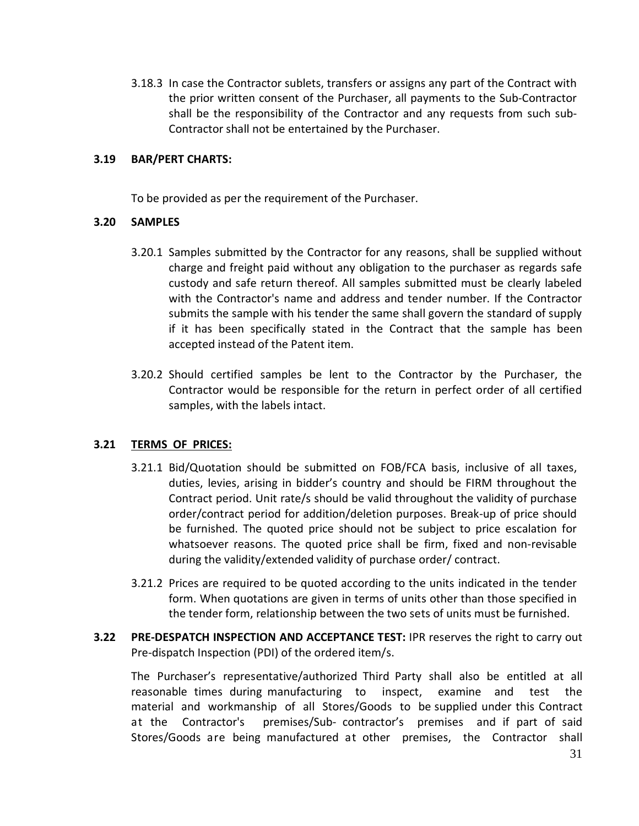3.18.3 In case the Contractor sublets, transfers or assigns any part of the Contract with the prior written consent of the Purchaser, all payments to the Sub-Contractor shall be the responsibility of the Contractor and any requests from such sub-Contractor shall not be entertained by the Purchaser.

#### **3.19 BAR/PERT CHARTS:**

To be provided as per the requirement of the Purchaser.

#### **3.20 SAMPLES**

- 3.20.1 Samples submitted by the Contractor for any reasons, shall be supplied without charge and freight paid without any obligation to the purchaser as regards safe custody and safe return thereof. All samples submitted must be clearly labeled with the Contractor's name and address and tender number. If the Contractor submits the sample with his tender the same shall govern the standard of supply if it has been specifically stated in the Contract that the sample has been accepted instead of the Patent item.
- 3.20.2 Should certified samples be lent to the Contractor by the Purchaser, the Contractor would be responsible for the return in perfect order of all certified samples, with the labels intact.

#### **3.21 TERMS OF PRICES:**

- 3.21.1 Bid/Quotation should be submitted on FOB/FCA basis, inclusive of all taxes, duties, levies, arising in bidder's country and should be FIRM throughout the Contract period. Unit rate/s should be valid throughout the validity of purchase order/contract period for addition/deletion purposes. Break-up of price should be furnished. The quoted price should not be subject to price escalation for whatsoever reasons. The quoted price shall be firm, fixed and non-revisable during the validity/extended validity of purchase order/ contract.
- 3.21.2 Prices are required to be quoted according to the units indicated in the tender form. When quotations are given in terms of units other than those specified in the tender form, relationship between the two sets of units must be furnished.
- **3.22 PRE-DESPATCH INSPECTION AND ACCEPTANCE TEST:** IPR reserves the right to carry out Pre-dispatch Inspection (PDI) of the ordered item/s.

The Purchaser's representative/authorized Third Party shall also be entitled at all reasonable times during manufacturing to inspect, examine and test the material and workmanship of all Stores/Goods to be supplied under this Contract at the Contractor's premises/Sub- contractor's premises and if part of said Stores/Goods are being manufactured at other premises, the Contractor shall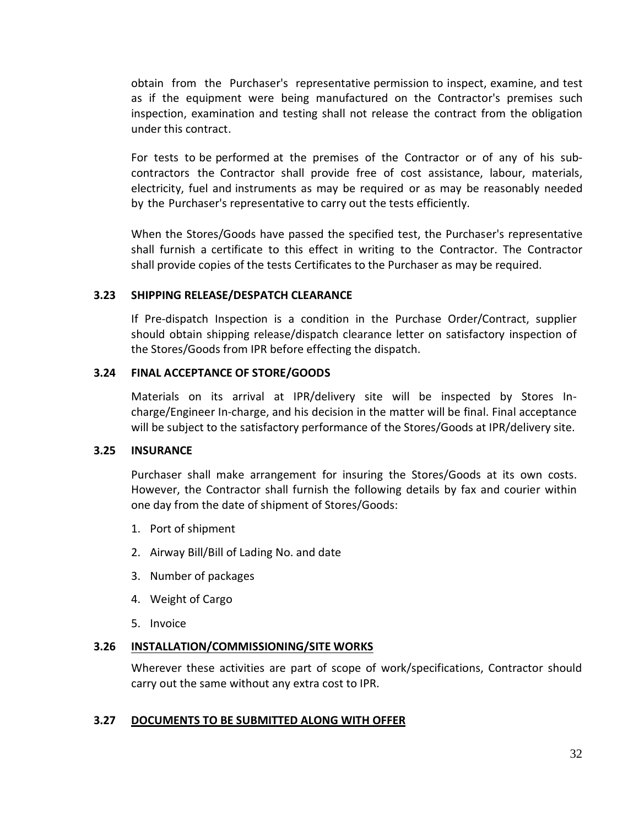obtain from the Purchaser's representative permission to inspect, examine, and test as if the equipment were being manufactured on the Contractor's premises such inspection, examination and testing shall not release the contract from the obligation under this contract.

For tests to be performed at the premises of the Contractor or of any of his subcontractors the Contractor shall provide free of cost assistance, labour, materials, electricity, fuel and instruments as may be required or as may be reasonably needed by the Purchaser's representative to carry out the tests efficiently.

When the Stores/Goods have passed the specified test, the Purchaser's representative shall furnish a certificate to this effect in writing to the Contractor. The Contractor shall provide copies of the tests Certificates to the Purchaser as may be required.

#### **3.23 SHIPPING RELEASE/DESPATCH CLEARANCE**

If Pre-dispatch Inspection is a condition in the Purchase Order/Contract, supplier should obtain shipping release/dispatch clearance letter on satisfactory inspection of the Stores/Goods from IPR before effecting the dispatch.

#### **3.24 FINAL ACCEPTANCE OF STORE/GOODS**

Materials on its arrival at IPR/delivery site will be inspected by Stores Incharge/Engineer In-charge, and his decision in the matter will be final. Final acceptance will be subject to the satisfactory performance of the Stores/Goods at IPR/delivery site.

#### **3.25 INSURANCE**

Purchaser shall make arrangement for insuring the Stores/Goods at its own costs. However, the Contractor shall furnish the following details by fax and courier within one day from the date of shipment of Stores/Goods:

- 1. Port of shipment
- 2. Airway Bill/Bill of Lading No. and date
- 3. Number of packages
- 4. Weight of Cargo
- 5. Invoice

#### **3.26 INSTALLATION/COMMISSIONING/SITE WORKS**

Wherever these activities are part of scope of work/specifications, Contractor should carry out the same without any extra cost to IPR.

#### **3.27 DOCUMENTS TO BE SUBMITTED ALONG WITH OFFER**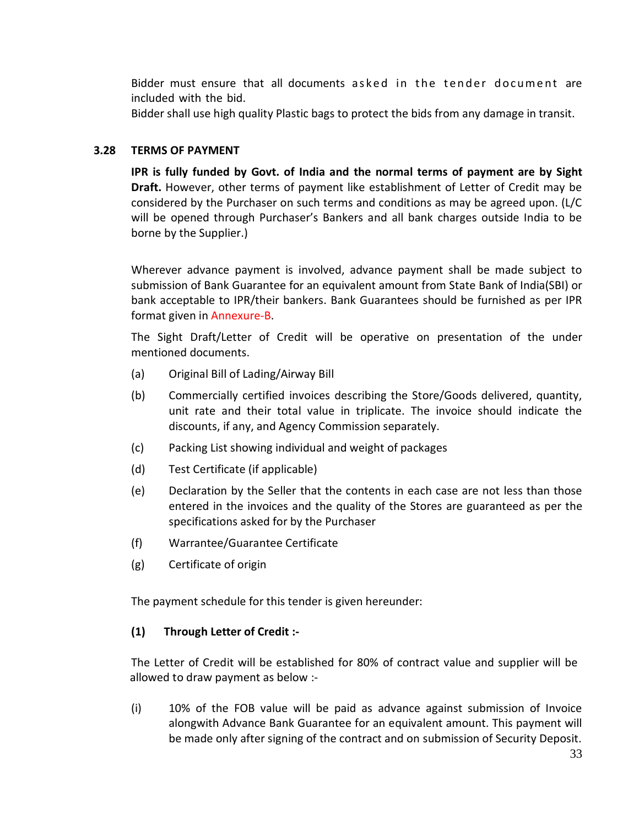Bidder must ensure that all documents a sked in the tender document are included with the bid.

Bidder shall use high quality Plastic bags to protect the bids from any damage in transit.

#### **3.28 TERMS OF PAYMENT**

**IPR is fully funded by Govt. of India and the normal terms of payment are by Sight Draft.** However, other terms of payment like establishment of Letter of Credit may be considered by the Purchaser on such terms and conditions as may be agreed upon. (L/C will be opened through Purchaser's Bankers and all bank charges outside India to be borne by the Supplier.)

Wherever advance payment is involved, advance payment shall be made subject to submission of Bank Guarantee for an equivalent amount from State Bank of India(SBI) or bank acceptable to IPR/their bankers. Bank Guarantees should be furnished as per IPR format given in Annexure-B.

The Sight Draft/Letter of Credit will be operative on presentation of the under mentioned documents.

- (a) Original Bill of Lading/Airway Bill
- (b) Commercially certified invoices describing the Store/Goods delivered, quantity, unit rate and their total value in triplicate. The invoice should indicate the discounts, if any, and Agency Commission separately.
- (c) Packing List showing individual and weight of packages
- (d) Test Certificate (if applicable)
- (e) Declaration by the Seller that the contents in each case are not less than those entered in the invoices and the quality of the Stores are guaranteed as per the specifications asked for by the Purchaser
- (f) Warrantee/Guarantee Certificate
- (g) Certificate of origin

The payment schedule for this tender is given hereunder:

#### **(1) Through Letter of Credit :-**

The Letter of Credit will be established for 80% of contract value and supplier will be allowed to draw payment as below :-

(i) 10% of the FOB value will be paid as advance against submission of Invoice alongwith Advance Bank Guarantee for an equivalent amount. This payment will be made only after signing of the contract and on submission of Security Deposit.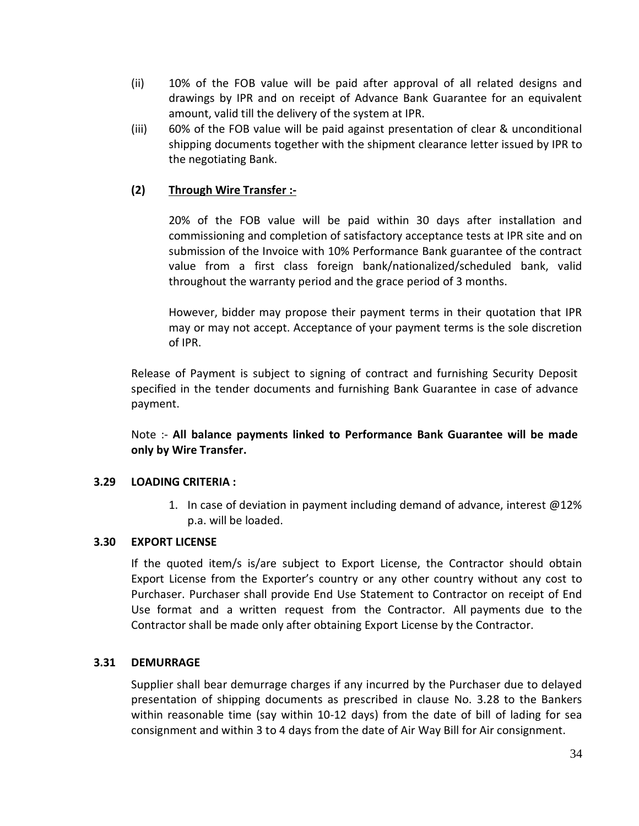- (ii) 10% of the FOB value will be paid after approval of all related designs and drawings by IPR and on receipt of Advance Bank Guarantee for an equivalent amount, valid till the delivery of the system at IPR.
- (iii) 60% of the FOB value will be paid against presentation of clear & unconditional shipping documents together with the shipment clearance letter issued by IPR to the negotiating Bank.

#### **(2) Through Wire Transfer :-**

20% of the FOB value will be paid within 30 days after installation and commissioning and completion of satisfactory acceptance tests at IPR site and on submission of the Invoice with 10% Performance Bank guarantee of the contract value from a first class foreign bank/nationalized/scheduled bank, valid throughout the warranty period and the grace period of 3 months.

However, bidder may propose their payment terms in their quotation that IPR may or may not accept. Acceptance of your payment terms is the sole discretion of IPR.

Release of Payment is subject to signing of contract and furnishing Security Deposit specified in the tender documents and furnishing Bank Guarantee in case of advance payment.

Note :- **All balance payments linked to Performance Bank Guarantee will be made only by Wire Transfer.**

#### **3.29 LOADING CRITERIA :**

1. In case of deviation in payment including demand of advance, interest @12% p.a. will be loaded.

#### **3.30 EXPORT LICENSE**

If the quoted item/s is/are subject to Export License, the Contractor should obtain Export License from the Exporter's country or any other country without any cost to Purchaser. Purchaser shall provide End Use Statement to Contractor on receipt of End Use format and a written request from the Contractor. All payments due to the Contractor shall be made only after obtaining Export License by the Contractor.

#### **3.31 DEMURRAGE**

Supplier shall bear demurrage charges if any incurred by the Purchaser due to delayed presentation of shipping documents as prescribed in clause No. 3.28 to the Bankers within reasonable time (say within 10-12 days) from the date of bill of lading for sea consignment and within 3 to 4 days from the date of Air Way Bill for Air consignment.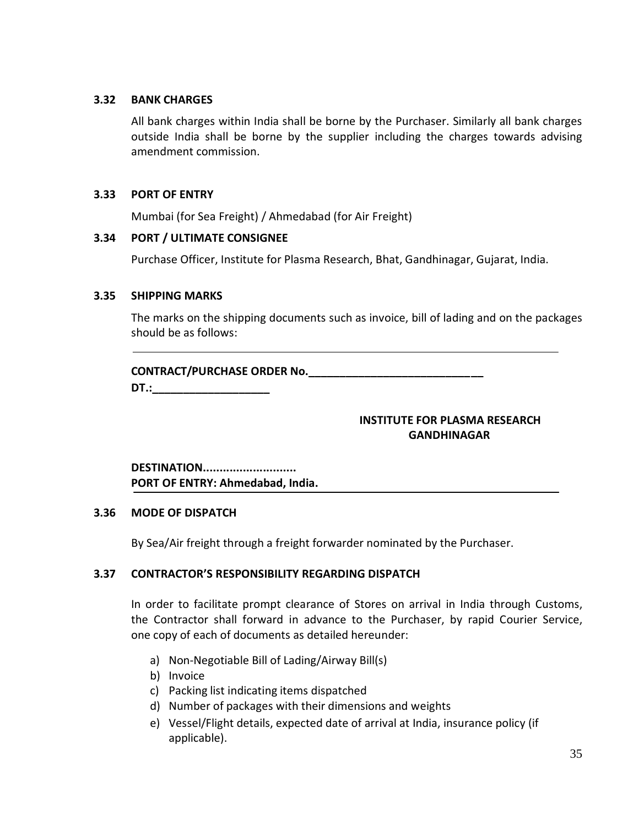#### **3.32 BANK CHARGES**

All bank charges within India shall be borne by the Purchaser. Similarly all bank charges outside India shall be borne by the supplier including the charges towards advising amendment commission.

#### **3.33 PORT OF ENTRY**

Mumbai (for Sea Freight) / Ahmedabad (for Air Freight)

#### **3.34 PORT / ULTIMATE CONSIGNEE**

Purchase Officer, Institute for Plasma Research, Bhat, Gandhinagar, Gujarat, India.

#### **3.35 SHIPPING MARKS**

The marks on the shipping documents such as invoice, bill of lading and on the packages should be as follows:

#### **CONTRACT/PURCHASE ORDER No.\_\_\_\_\_\_\_\_\_\_\_\_\_\_\_\_\_\_\_\_\_\_\_\_\_\_\_\_**

**DT.:** 

#### **INSTITUTE FOR PLASMA RESEARCH GANDHINAGAR**

#### **DESTINATION............................ PORT OF ENTRY: Ahmedabad, India.**

#### **3.36 MODE OF DISPATCH**

By Sea/Air freight through a freight forwarder nominated by the Purchaser.

#### **3.37 CONTRACTOR'S RESPONSIBILITY REGARDING DISPATCH**

In order to facilitate prompt clearance of Stores on arrival in India through Customs, the Contractor shall forward in advance to the Purchaser, by rapid Courier Service, one copy of each of documents as detailed hereunder:

- a) Non-Negotiable Bill of Lading/Airway Bill(s)
- b) Invoice
- c) Packing list indicating items dispatched
- d) Number of packages with their dimensions and weights
- e) Vessel/Flight details, expected date of arrival at India, insurance policy (if applicable).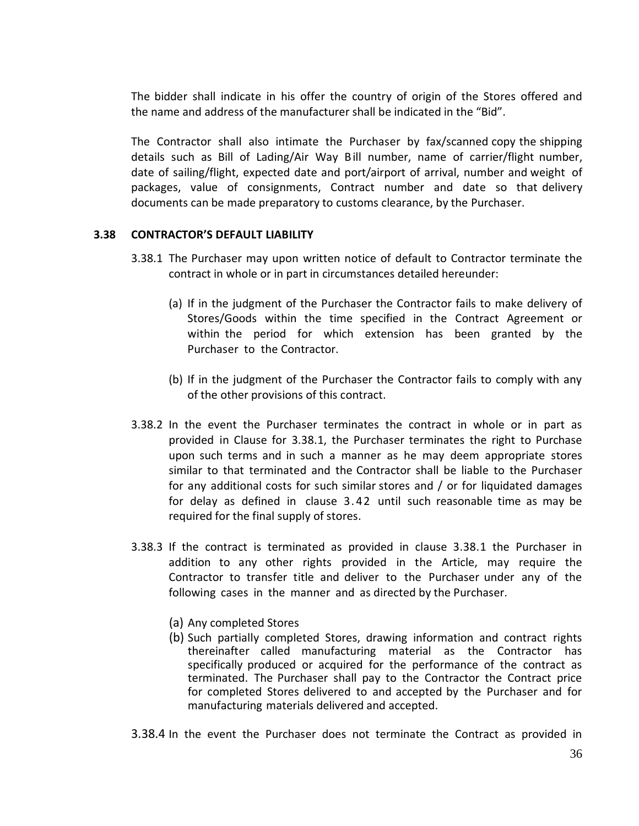The bidder shall indicate in his offer the country of origin of the Stores offered and the name and address of the manufacturer shall be indicated in the "Bid".

The Contractor shall also intimate the Purchaser by fax/scanned copy the shipping details such as Bill of Lading/Air Way Bill number, name of carrier/flight number, date of sailing/flight, expected date and port/airport of arrival, number and weight of packages, value of consignments, Contract number and date so that delivery documents can be made preparatory to customs clearance, by the Purchaser.

#### **3.38 CONTRACTOR'S DEFAULT LIABILITY**

- 3.38.1 The Purchaser may upon written notice of default to Contractor terminate the contract in whole or in part in circumstances detailed hereunder:
	- (a) If in the judgment of the Purchaser the Contractor fails to make delivery of Stores/Goods within the time specified in the Contract Agreement or within the period for which extension has been granted by the Purchaser to the Contractor.
	- (b) If in the judgment of the Purchaser the Contractor fails to comply with any of the other provisions of this contract.
- 3.38.2 In the event the Purchaser terminates the contract in whole or in part as provided in Clause for 3.38.1, the Purchaser terminates the right to Purchase upon such terms and in such a manner as he may deem appropriate stores similar to that terminated and the Contractor shall be liable to the Purchaser for any additional costs for such similar stores and / or for liquidated damages for delay as defined in clause 3. 42 until such reasonable time as may be required for the final supply of stores.
- 3.38.3 If the contract is terminated as provided in clause 3.38.1 the Purchaser in addition to any other rights provided in the Article, may require the Contractor to transfer title and deliver to the Purchaser under any of the following cases in the manner and as directed by the Purchaser.
	- (a) Any completed Stores
	- (b) Such partially completed Stores, drawing information and contract rights thereinafter called manufacturing material as the Contractor has specifically produced or acquired for the performance of the contract as terminated. The Purchaser shall pay to the Contractor the Contract price for completed Stores delivered to and accepted by the Purchaser and for manufacturing materials delivered and accepted.
- 3.38.4 In the event the Purchaser does not terminate the Contract as provided in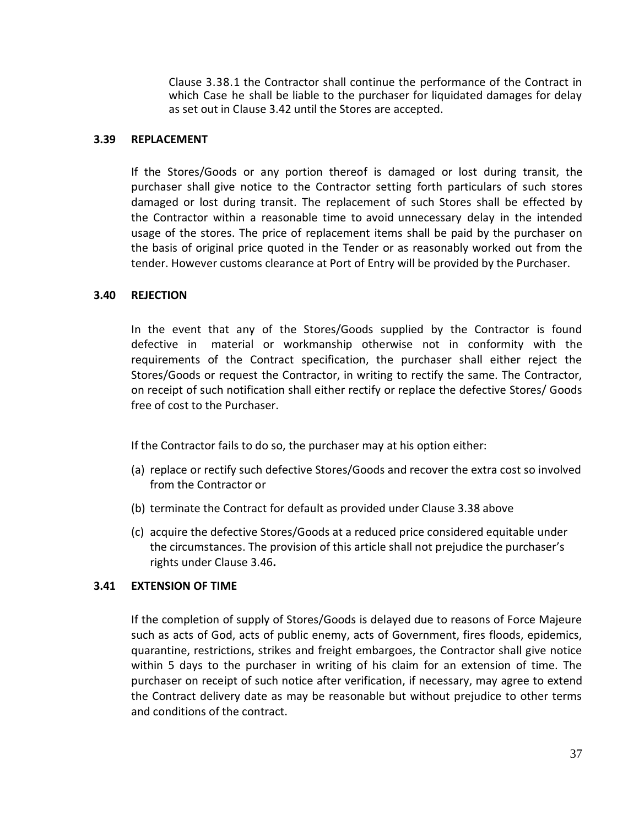Clause 3.38.1 the Contractor shall continue the performance of the Contract in which Case he shall be liable to the purchaser for liquidated damages for delay as set out in Clause 3.42 until the Stores are accepted.

#### **3.39 REPLACEMENT**

If the Stores/Goods or any portion thereof is damaged or lost during transit, the purchaser shall give notice to the Contractor setting forth particulars of such stores damaged or lost during transit. The replacement of such Stores shall be effected by the Contractor within a reasonable time to avoid unnecessary delay in the intended usage of the stores. The price of replacement items shall be paid by the purchaser on the basis of original price quoted in the Tender or as reasonably worked out from the tender. However customs clearance at Port of Entry will be provided by the Purchaser.

#### **3.40 REJECTION**

In the event that any of the Stores/Goods supplied by the Contractor is found defective in material or workmanship otherwise not in conformity with the requirements of the Contract specification, the purchaser shall either reject the Stores/Goods or request the Contractor, in writing to rectify the same. The Contractor, on receipt of such notification shall either rectify or replace the defective Stores/ Goods free of cost to the Purchaser.

If the Contractor fails to do so, the purchaser may at his option either:

- (a) replace or rectify such defective Stores/Goods and recover the extra cost so involved from the Contractor or
- (b) terminate the Contract for default as provided under Clause 3.38 above
- (c) acquire the defective Stores/Goods at a reduced price considered equitable under the circumstances. The provision of this article shall not prejudice the purchaser's rights under Clause 3.46**.**

#### **3.41 EXTENSION OF TIME**

If the completion of supply of Stores/Goods is delayed due to reasons of Force Majeure such as acts of God, acts of public enemy, acts of Government, fires floods, epidemics, quarantine, restrictions, strikes and freight embargoes, the Contractor shall give notice within 5 days to the purchaser in writing of his claim for an extension of time. The purchaser on receipt of such notice after verification, if necessary, may agree to extend the Contract delivery date as may be reasonable but without prejudice to other terms and conditions of the contract.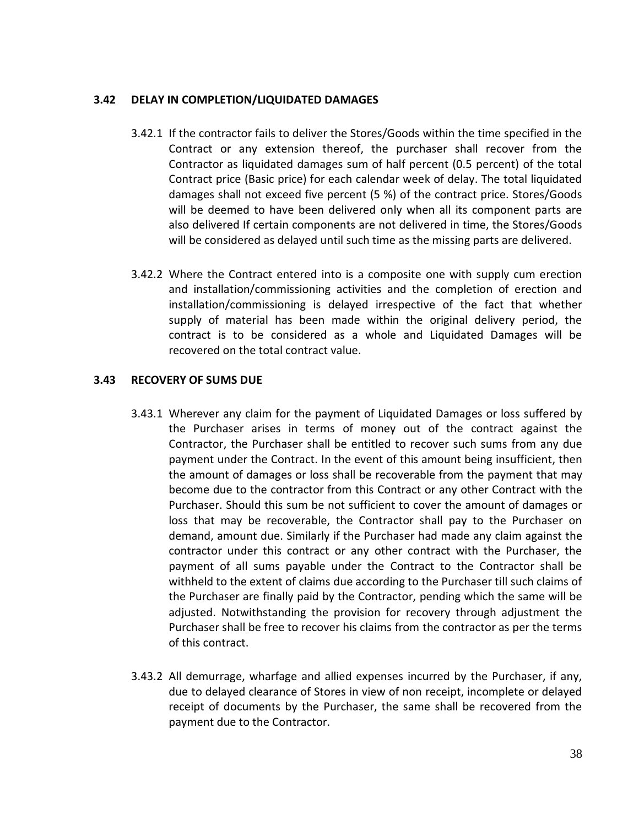#### **3.42 DELAY IN COMPLETION/LIQUIDATED DAMAGES**

- 3.42.1 If the contractor fails to deliver the Stores/Goods within the time specified in the Contract or any extension thereof, the purchaser shall recover from the Contractor as liquidated damages sum of half percent (0.5 percent) of the total Contract price (Basic price) for each calendar week of delay. The total liquidated damages shall not exceed five percent (5 %) of the contract price. Stores/Goods will be deemed to have been delivered only when all its component parts are also delivered If certain components are not delivered in time, the Stores/Goods will be considered as delayed until such time as the missing parts are delivered.
- 3.42.2 Where the Contract entered into is a composite one with supply cum erection and installation/commissioning activities and the completion of erection and installation/commissioning is delayed irrespective of the fact that whether supply of material has been made within the original delivery period, the contract is to be considered as a whole and Liquidated Damages will be recovered on the total contract value.

#### **3.43 RECOVERY OF SUMS DUE**

- 3.43.1 Wherever any claim for the payment of Liquidated Damages or loss suffered by the Purchaser arises in terms of money out of the contract against the Contractor, the Purchaser shall be entitled to recover such sums from any due payment under the Contract. In the event of this amount being insufficient, then the amount of damages or loss shall be recoverable from the payment that may become due to the contractor from this Contract or any other Contract with the Purchaser. Should this sum be not sufficient to cover the amount of damages or loss that may be recoverable, the Contractor shall pay to the Purchaser on demand, amount due. Similarly if the Purchaser had made any claim against the contractor under this contract or any other contract with the Purchaser, the payment of all sums payable under the Contract to the Contractor shall be withheld to the extent of claims due according to the Purchaser till such claims of the Purchaser are finally paid by the Contractor, pending which the same will be adjusted. Notwithstanding the provision for recovery through adjustment the Purchaser shall be free to recover his claims from the contractor as per the terms of this contract.
- 3.43.2 All demurrage, wharfage and allied expenses incurred by the Purchaser, if any, due to delayed clearance of Stores in view of non receipt, incomplete or delayed receipt of documents by the Purchaser, the same shall be recovered from the payment due to the Contractor.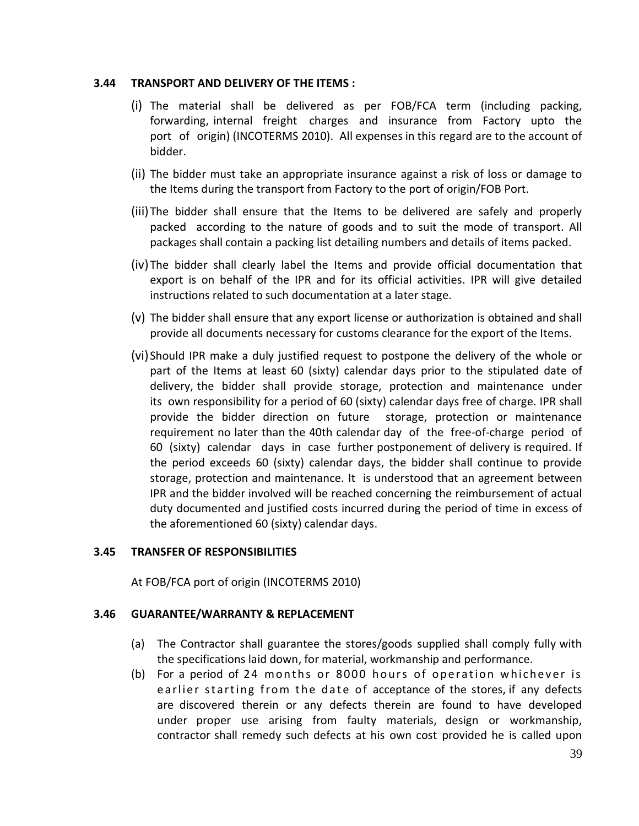#### **3.44 TRANSPORT AND DELIVERY OF THE ITEMS :**

- (i) The material shall be delivered as per FOB/FCA term (including packing, forwarding, internal freight charges and insurance from Factory upto the port of origin) (INCOTERMS 2010). All expenses in this regard are to the account of bidder.
- (ii) The bidder must take an appropriate insurance against a risk of loss or damage to the Items during the transport from Factory to the port of origin/FOB Port.
- (iii)The bidder shall ensure that the Items to be delivered are safely and properly packed according to the nature of goods and to suit the mode of transport. All packages shall contain a packing list detailing numbers and details of items packed.
- (iv)The bidder shall clearly label the Items and provide official documentation that export is on behalf of the IPR and for its official activities. IPR will give detailed instructions related to such documentation at a later stage.
- (v) The bidder shall ensure that any export license or authorization is obtained and shall provide all documents necessary for customs clearance for the export of the Items.
- (vi)Should IPR make a duly justified request to postpone the delivery of the whole or part of the Items at least 60 (sixty) calendar days prior to the stipulated date of delivery, the bidder shall provide storage, protection and maintenance under its own responsibility for a period of 60 (sixty) calendar days free of charge. IPR shall provide the bidder direction on future storage, protection or maintenance requirement no later than the 40th calendar day of the free-of-charge period of 60 (sixty) calendar days in case further postponement of delivery is required. If the period exceeds 60 (sixty) calendar days, the bidder shall continue to provide storage, protection and maintenance. It is understood that an agreement between IPR and the bidder involved will be reached concerning the reimbursement of actual duty documented and justified costs incurred during the period of time in excess of the aforementioned 60 (sixty) calendar days.

#### **3.45 TRANSFER OF RESPONSIBILITIES**

At FOB/FCA port of origin (INCOTERMS 2010)

#### **3.46 GUARANTEE/WARRANTY & REPLACEMENT**

- (a) The Contractor shall guarantee the stores/goods supplied shall comply fully with the specifications laid down, for material, workmanship and performance.
- (b) For a period of 24 months or 8000 hours of operation whichever is e arlier starting from the date of acceptance of the stores, if any defects are discovered therein or any defects therein are found to have developed under proper use arising from faulty materials, design or workmanship, contractor shall remedy such defects at his own cost provided he is called upon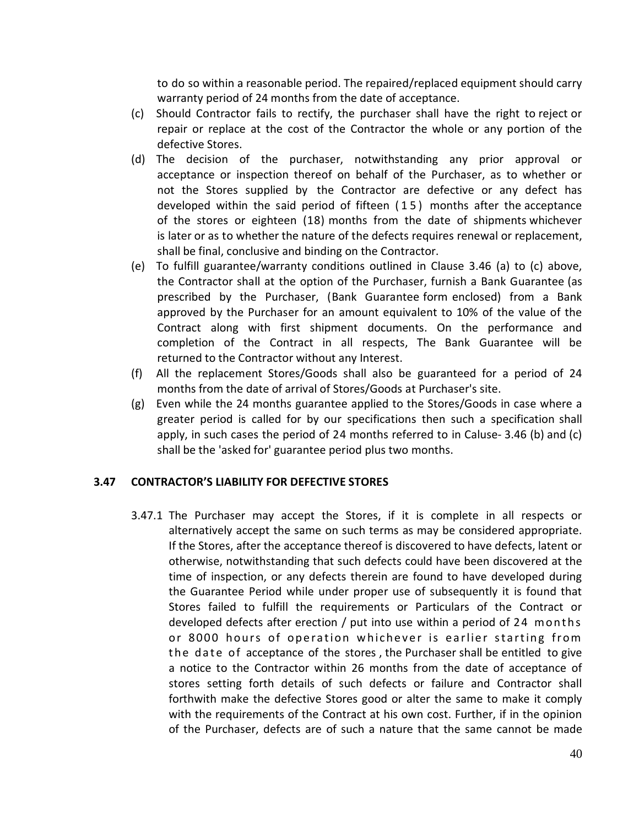to do so within a reasonable period. The repaired/replaced equipment should carry warranty period of 24 months from the date of acceptance.

- (c) Should Contractor fails to rectify, the purchaser shall have the right to reject or repair or replace at the cost of the Contractor the whole or any portion of the defective Stores.
- (d) The decision of the purchaser, notwithstanding any prior approval or acceptance or inspection thereof on behalf of the Purchaser, as to whether or not the Stores supplied by the Contractor are defective or any defect has developed within the said period of fifteen ( 1 5 ) months after the acceptance of the stores or eighteen (18) months from the date of shipments whichever is later or as to whether the nature of the defects requires renewal or replacement, shall be final, conclusive and binding on the Contractor.
- (e) To fulfill guarantee/warranty conditions outlined in Clause 3.46 (a) to (c) above, the Contractor shall at the option of the Purchaser, furnish a Bank Guarantee (as prescribed by the Purchaser, (Bank Guarantee form enclosed) from a Bank approved by the Purchaser for an amount equivalent to 10% of the value of the Contract along with first shipment documents. On the performance and completion of the Contract in all respects, The Bank Guarantee will be returned to the Contractor without any Interest.
- (f) All the replacement Stores/Goods shall also be guaranteed for a period of 24 months from the date of arrival of Stores/Goods at Purchaser's site.
- (g) Even while the 24 months guarantee applied to the Stores/Goods in case where a greater period is called for by our specifications then such a specification shall apply, in such cases the period of 24 months referred to in Caluse- 3.46 (b) and (c) shall be the 'asked for' guarantee period plus two months.

#### **3.47 CONTRACTOR'S LIABILITY FOR DEFECTIVE STORES**

3.47.1 The Purchaser may accept the Stores, if it is complete in all respects or alternatively accept the same on such terms as may be considered appropriate. If the Stores, after the acceptance thereof is discovered to have defects, latent or otherwise, notwithstanding that such defects could have been discovered at the time of inspection, or any defects therein are found to have developed during the Guarantee Period while under proper use of subsequently it is found that Stores failed to fulfill the requirements or Particulars of the Contract or developed defects after erection / put into use within a period of 24 months or 8000 hours of operation whichever is earlier starting from the date of acceptance of the stores, the Purchaser shall be entitled to give a notice to the Contractor within 26 months from the date of acceptance of stores setting forth details of such defects or failure and Contractor shall forthwith make the defective Stores good or alter the same to make it comply with the requirements of the Contract at his own cost. Further, if in the opinion of the Purchaser, defects are of such a nature that the same cannot be made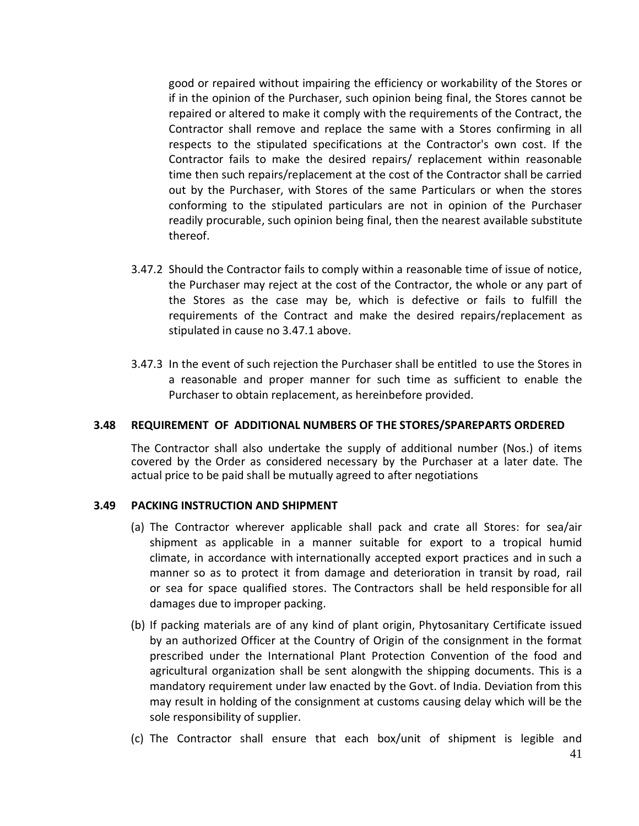good or repaired without impairing the efficiency or workability of the Stores or if in the opinion of the Purchaser, such opinion being final, the Stores cannot be repaired or altered to make it comply with the requirements of the Contract, the Contractor shall remove and replace the same with a Stores confirming in all respects to the stipulated specifications at the Contractor's own cost. If the Contractor fails to make the desired repairs/ replacement within reasonable time then such repairs/replacement at the cost of the Contractor shall be carried out by the Purchaser, with Stores of the same Particulars or when the stores conforming to the stipulated particulars are not in opinion of the Purchaser readily procurable, such opinion being final, then the nearest available substitute thereof.

- 3.47.2 Should the Contractor fails to comply within a reasonable time of issue of notice, the Purchaser may reject at the cost of the Contractor, the whole or any part of the Stores as the case may be, which is defective or fails to fulfill the requirements of the Contract and make the desired repairs/replacement as stipulated in cause no 3.47.1 above.
- 3.47.3 In the event of such rejection the Purchaser shall be entitled to use the Stores in a reasonable and proper manner for such time as sufficient to enable the Purchaser to obtain replacement, as hereinbefore provided.

#### **3.48 REQUIREMENT OF ADDITIONAL NUMBERS OF THE STORES/SPAREPARTS ORDERED**

The Contractor shall also undertake the supply of additional number (Nos.) of items covered by the Order as considered necessary by the Purchaser at a later date. The actual price to be paid shall be mutually agreed to after negotiations

#### **3.49 PACKING INSTRUCTION AND SHIPMENT**

- (a) The Contractor wherever applicable shall pack and crate all Stores: for sea/air shipment as applicable in a manner suitable for export to a tropical humid climate, in accordance with internationally accepted export practices and in such a manner so as to protect it from damage and deterioration in transit by road, rail or sea for space qualified stores. The Contractors shall be held responsible for all damages due to improper packing.
- (b) If packing materials are of any kind of plant origin, Phytosanitary Certificate issued by an authorized Officer at the Country of Origin of the consignment in the format prescribed under the International Plant Protection Convention of the food and agricultural organization shall be sent alongwith the shipping documents. This is a mandatory requirement under law enacted by the Govt. of India. Deviation from this may result in holding of the consignment at customs causing delay which will be the sole responsibility of supplier.
- (c) The Contractor shall ensure that each box/unit of shipment is legible and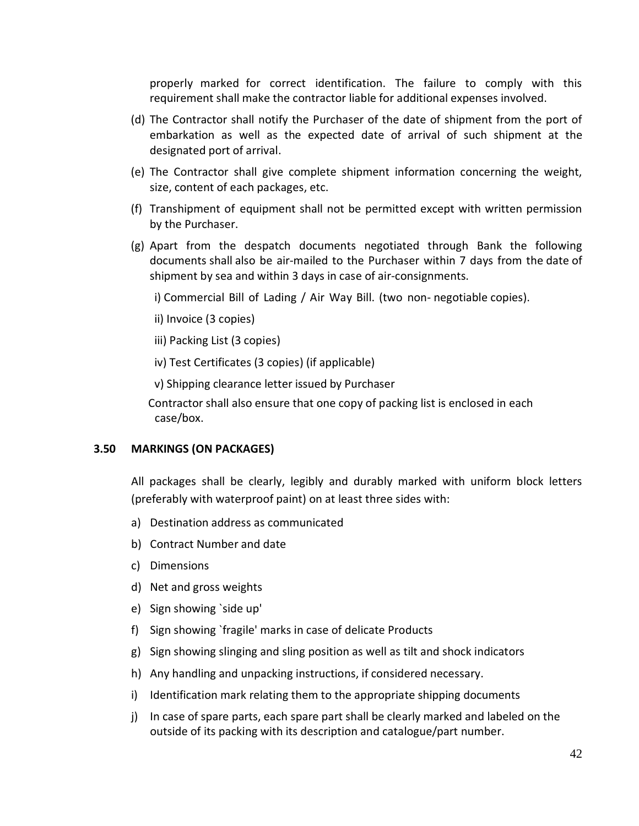properly marked for correct identification. The failure to comply with this requirement shall make the contractor liable for additional expenses involved.

- (d) The Contractor shall notify the Purchaser of the date of shipment from the port of embarkation as well as the expected date of arrival of such shipment at the designated port of arrival.
- (e) The Contractor shall give complete shipment information concerning the weight, size, content of each packages, etc.
- (f) Transhipment of equipment shall not be permitted except with written permission by the Purchaser.
- (g) Apart from the despatch documents negotiated through Bank the following documents shall also be air-mailed to the Purchaser within 7 days from the date of shipment by sea and within 3 days in case of air-consignments.

i) Commercial Bill of Lading / Air Way Bill. (two non- negotiable copies).

ii) Invoice (3 copies)

iii) Packing List (3 copies)

iv) Test Certificates (3 copies) (if applicable)

v) Shipping clearance letter issued by Purchaser

 Contractor shall also ensure that one copy of packing list is enclosed in each case/box.

#### **3.50 MARKINGS (ON PACKAGES)**

All packages shall be clearly, legibly and durably marked with uniform block letters (preferably with waterproof paint) on at least three sides with:

- a) Destination address as communicated
- b) Contract Number and date
- c) Dimensions
- d) Net and gross weights
- e) Sign showing `side up'
- f) Sign showing `fragile' marks in case of delicate Products
- g) Sign showing slinging and sling position as well as tilt and shock indicators
- h) Any handling and unpacking instructions, if considered necessary.
- i) Identification mark relating them to the appropriate shipping documents
- j) In case of spare parts, each spare part shall be clearly marked and labeled on the outside of its packing with its description and catalogue/part number.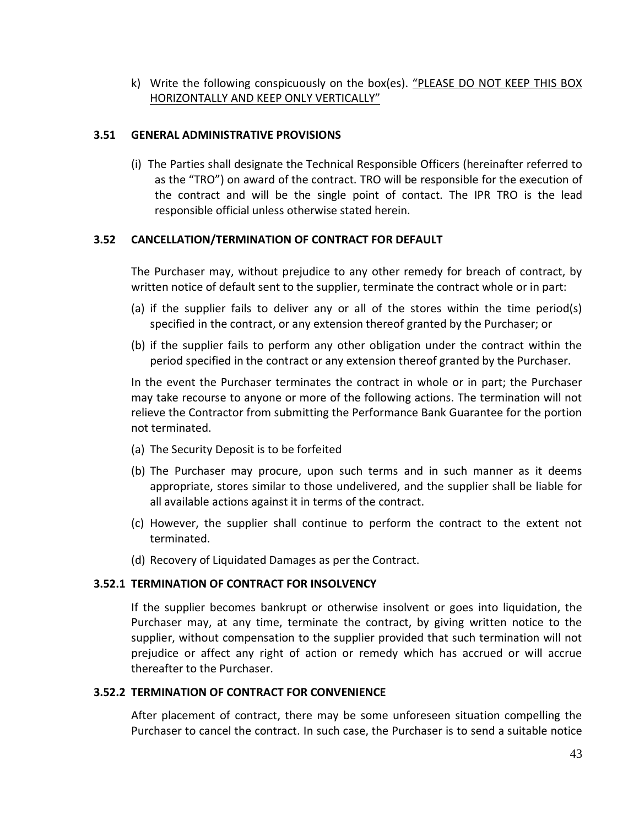k) Write the following conspicuously on the box(es). "PLEASE DO NOT KEEP THIS BOX HORIZONTALLY AND KEEP ONLY VERTICALLY"

#### **3.51 GENERAL ADMINISTRATIVE PROVISIONS**

(i) The Parties shall designate the Technical Responsible Officers (hereinafter referred to as the "TRO") on award of the contract. TRO will be responsible for the execution of the contract and will be the single point of contact. The IPR TRO is the lead responsible official unless otherwise stated herein.

#### **3.52 CANCELLATION/TERMINATION OF CONTRACT FOR DEFAULT**

The Purchaser may, without prejudice to any other remedy for breach of contract, by written notice of default sent to the supplier, terminate the contract whole or in part:

- (a) if the supplier fails to deliver any or all of the stores within the time period(s) specified in the contract, or any extension thereof granted by the Purchaser; or
- (b) if the supplier fails to perform any other obligation under the contract within the period specified in the contract or any extension thereof granted by the Purchaser.

In the event the Purchaser terminates the contract in whole or in part; the Purchaser may take recourse to anyone or more of the following actions. The termination will not relieve the Contractor from submitting the Performance Bank Guarantee for the portion not terminated.

- (a) The Security Deposit is to be forfeited
- (b) The Purchaser may procure, upon such terms and in such manner as it deems appropriate, stores similar to those undelivered, and the supplier shall be liable for all available actions against it in terms of the contract.
- (c) However, the supplier shall continue to perform the contract to the extent not terminated.
- (d) Recovery of Liquidated Damages as per the Contract.

#### **3.52.1 TERMINATION OF CONTRACT FOR INSOLVENCY**

If the supplier becomes bankrupt or otherwise insolvent or goes into liquidation, the Purchaser may, at any time, terminate the contract, by giving written notice to the supplier, without compensation to the supplier provided that such termination will not prejudice or affect any right of action or remedy which has accrued or will accrue thereafter to the Purchaser.

#### **3.52.2 TERMINATION OF CONTRACT FOR CONVENIENCE**

After placement of contract, there may be some unforeseen situation compelling the Purchaser to cancel the contract. In such case, the Purchaser is to send a suitable notice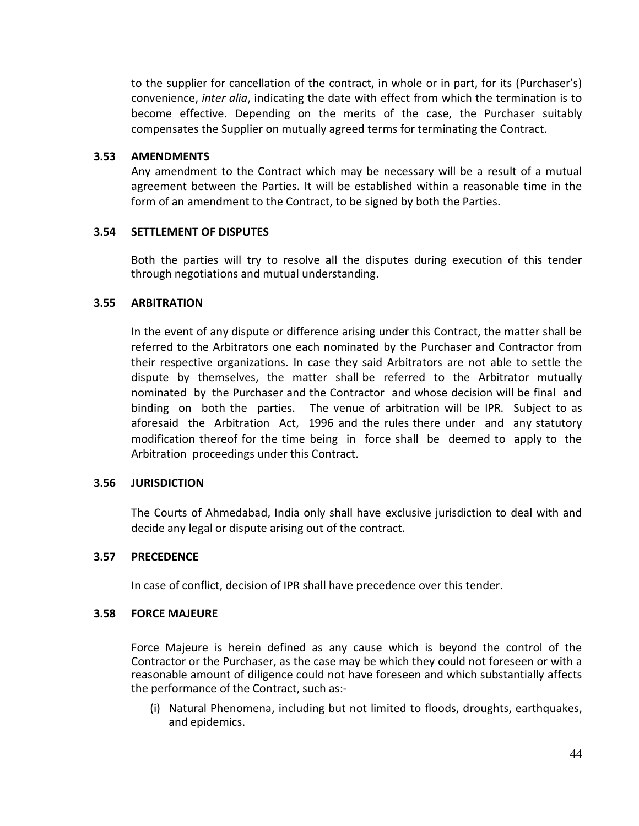to the supplier for cancellation of the contract, in whole or in part, for its (Purchaser's) convenience, *inter alia*, indicating the date with effect from which the termination is to become effective. Depending on the merits of the case, the Purchaser suitably compensates the Supplier on mutually agreed terms for terminating the Contract.

#### **3.53 AMENDMENTS**

Any amendment to the Contract which may be necessary will be a result of a mutual agreement between the Parties. It will be established within a reasonable time in the form of an amendment to the Contract, to be signed by both the Parties.

#### **3.54 SETTLEMENT OF DISPUTES**

Both the parties will try to resolve all the disputes during execution of this tender through negotiations and mutual understanding.

#### **3.55 ARBITRATION**

In the event of any dispute or difference arising under this Contract, the matter shall be referred to the Arbitrators one each nominated by the Purchaser and Contractor from their respective organizations. In case they said Arbitrators are not able to settle the dispute by themselves, the matter shall be referred to the Arbitrator mutually nominated by the Purchaser and the Contractor and whose decision will be final and binding on both the parties. The venue of arbitration will be IPR. Subject to as aforesaid the Arbitration Act, 1996 and the rules there under and any statutory modification thereof for the time being in force shall be deemed to apply to the Arbitration proceedings under this Contract.

#### **3.56 JURISDICTION**

The Courts of Ahmedabad, India only shall have exclusive jurisdiction to deal with and decide any legal or dispute arising out of the contract.

#### **3.57 PRECEDENCE**

In case of conflict, decision of IPR shall have precedence over this tender.

#### **3.58 FORCE MAJEURE**

Force Majeure is herein defined as any cause which is beyond the control of the Contractor or the Purchaser, as the case may be which they could not foreseen or with a reasonable amount of diligence could not have foreseen and which substantially affects the performance of the Contract, such as:-

(i) Natural Phenomena, including but not limited to floods, droughts, earthquakes, and epidemics.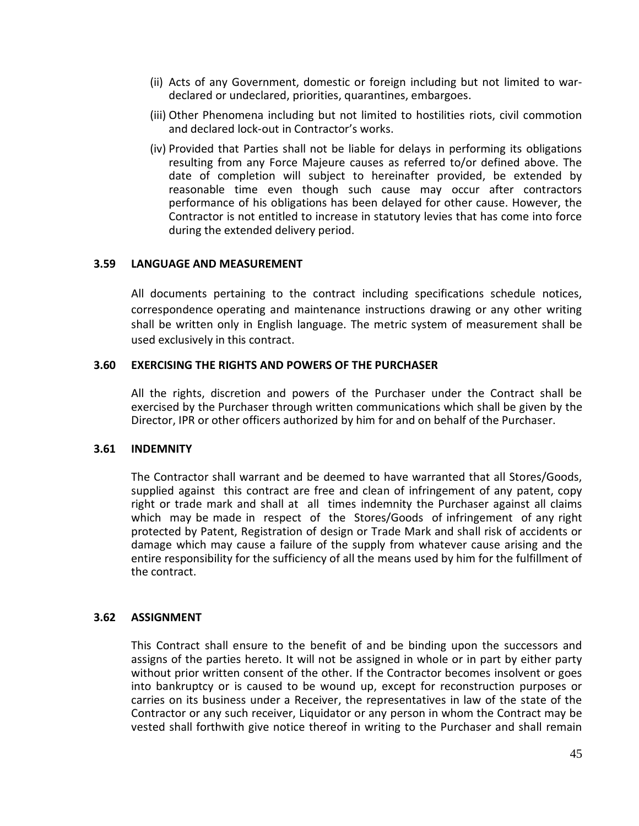- (ii) Acts of any Government, domestic or foreign including but not limited to wardeclared or undeclared, priorities, quarantines, embargoes.
- (iii) Other Phenomena including but not limited to hostilities riots, civil commotion and declared lock-out in Contractor's works.
- (iv) Provided that Parties shall not be liable for delays in performing its obligations resulting from any Force Majeure causes as referred to/or defined above. The date of completion will subject to hereinafter provided, be extended by reasonable time even though such cause may occur after contractors performance of his obligations has been delayed for other cause. However, the Contractor is not entitled to increase in statutory levies that has come into force during the extended delivery period.

#### **3.59 LANGUAGE AND MEASUREMENT**

All documents pertaining to the contract including specifications schedule notices, correspondence operating and maintenance instructions drawing or any other writing shall be written only in English language. The metric system of measurement shall be used exclusively in this contract.

#### **3.60 EXERCISING THE RIGHTS AND POWERS OF THE PURCHASER**

All the rights, discretion and powers of the Purchaser under the Contract shall be exercised by the Purchaser through written communications which shall be given by the Director, IPR or other officers authorized by him for and on behalf of the Purchaser.

#### **3.61 INDEMNITY**

The Contractor shall warrant and be deemed to have warranted that all Stores/Goods, supplied against this contract are free and clean of infringement of any patent, copy right or trade mark and shall at all times indemnity the Purchaser against all claims which may be made in respect of the Stores/Goods of infringement of any right protected by Patent, Registration of design or Trade Mark and shall risk of accidents or damage which may cause a failure of the supply from whatever cause arising and the entire responsibility for the sufficiency of all the means used by him for the fulfillment of the contract.

#### **3.62 ASSIGNMENT**

This Contract shall ensure to the benefit of and be binding upon the successors and assigns of the parties hereto. It will not be assigned in whole or in part by either party without prior written consent of the other. If the Contractor becomes insolvent or goes into bankruptcy or is caused to be wound up, except for reconstruction purposes or carries on its business under a Receiver, the representatives in law of the state of the Contractor or any such receiver, Liquidator or any person in whom the Contract may be vested shall forthwith give notice thereof in writing to the Purchaser and shall remain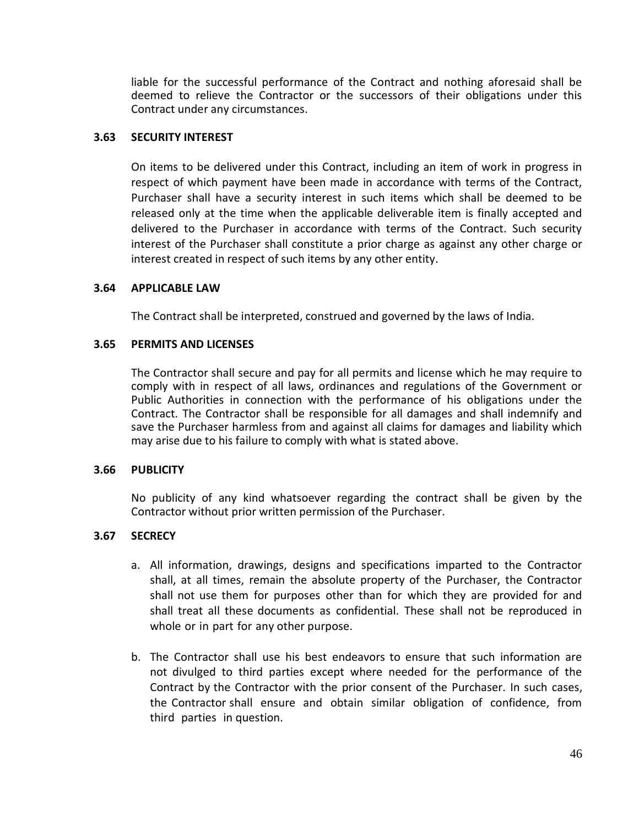liable for the successful performance of the Contract and nothing aforesaid shall be deemed to relieve the Contractor or the successors of their obligations under this Contract under any circumstances.

#### **3.63 SECURITY INTEREST**

On items to be delivered under this Contract, including an item of work in progress in respect of which payment have been made in accordance with terms of the Contract, Purchaser shall have a security interest in such items which shall be deemed to be released only at the time when the applicable deliverable item is finally accepted and delivered to the Purchaser in accordance with terms of the Contract. Such security interest of the Purchaser shall constitute a prior charge as against any other charge or interest created in respect of such items by any other entity.

#### **3.64 APPLICABLE LAW**

The Contract shall be interpreted, construed and governed by the laws of India.

#### **3.65 PERMITS AND LICENSES**

The Contractor shall secure and pay for all permits and license which he may require to comply with in respect of all laws, ordinances and regulations of the Government or Public Authorities in connection with the performance of his obligations under the Contract. The Contractor shall be responsible for all damages and shall indemnify and save the Purchaser harmless from and against all claims for damages and liability which may arise due to his failure to comply with what is stated above.

#### **3.66 PUBLICITY**

No publicity of any kind whatsoever regarding the contract shall be given by the Contractor without prior written permission of the Purchaser.

#### **3.67 SECRECY**

- a. All information, drawings, designs and specifications imparted to the Contractor shall, at all times, remain the absolute property of the Purchaser, the Contractor shall not use them for purposes other than for which they are provided for and shall treat all these documents as confidential. These shall not be reproduced in whole or in part for any other purpose.
- b. The Contractor shall use his best endeavors to ensure that such information are not divulged to third parties except where needed for the performance of the Contract by the Contractor with the prior consent of the Purchaser. In such cases, the Contractor shall ensure and obtain similar obligation of confidence, from third parties in question.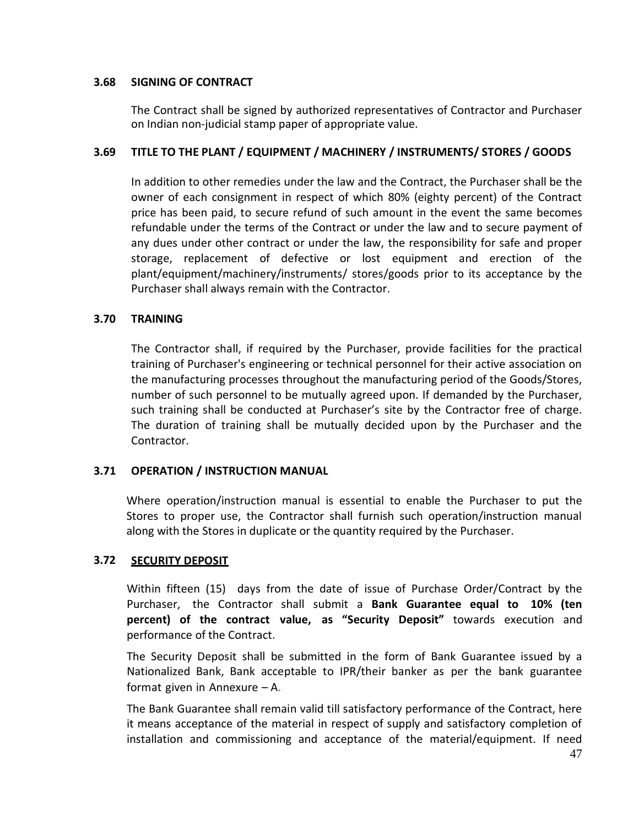#### **3.68 SIGNING OF CONTRACT**

The Contract shall be signed by authorized representatives of Contractor and Purchaser on Indian non-judicial stamp paper of appropriate value.

#### **3.69 TITLE TO THE PLANT / EQUIPMENT / MACHINERY / INSTRUMENTS/ STORES / GOODS**

In addition to other remedies under the law and the Contract, the Purchaser shall be the owner of each consignment in respect of which 80% (eighty percent) of the Contract price has been paid, to secure refund of such amount in the event the same becomes refundable under the terms of the Contract or under the law and to secure payment of any dues under other contract or under the law, the responsibility for safe and proper storage, replacement of defective or lost equipment and erection of the plant/equipment/machinery/instruments/ stores/goods prior to its acceptance by the Purchaser shall always remain with the Contractor.

#### **3.70 TRAINING**

The Contractor shall, if required by the Purchaser, provide facilities for the practical training of Purchaser's engineering or technical personnel for their active association on the manufacturing processes throughout the manufacturing period of the Goods/Stores, number of such personnel to be mutually agreed upon. If demanded by the Purchaser, such training shall be conducted at Purchaser's site by the Contractor free of charge. The duration of training shall be mutually decided upon by the Purchaser and the Contractor.

#### **3.71 OPERATION / INSTRUCTION MANUAL**

Where operation/instruction manual is essential to enable the Purchaser to put the Stores to proper use, the Contractor shall furnish such operation/instruction manual along with the Stores in duplicate or the quantity required by the Purchaser.

#### **3.72 SECURITY DEPOSIT**

Within fifteen (15) days from the date of issue of Purchase Order/Contract by the Purchaser, the Contractor shall submit a **Bank Guarantee equal to 10% (ten percent) of the contract value, as "Security Deposit"** towards execution and performance of the Contract.

The Security Deposit shall be submitted in the form of Bank Guarantee issued by a Nationalized Bank, Bank acceptable to IPR/their banker as per the bank guarantee format given in Annexure – A.

The Bank Guarantee shall remain valid till satisfactory performance of the Contract, here it means acceptance of the material in respect of supply and satisfactory completion of installation and commissioning and acceptance of the material/equipment. If need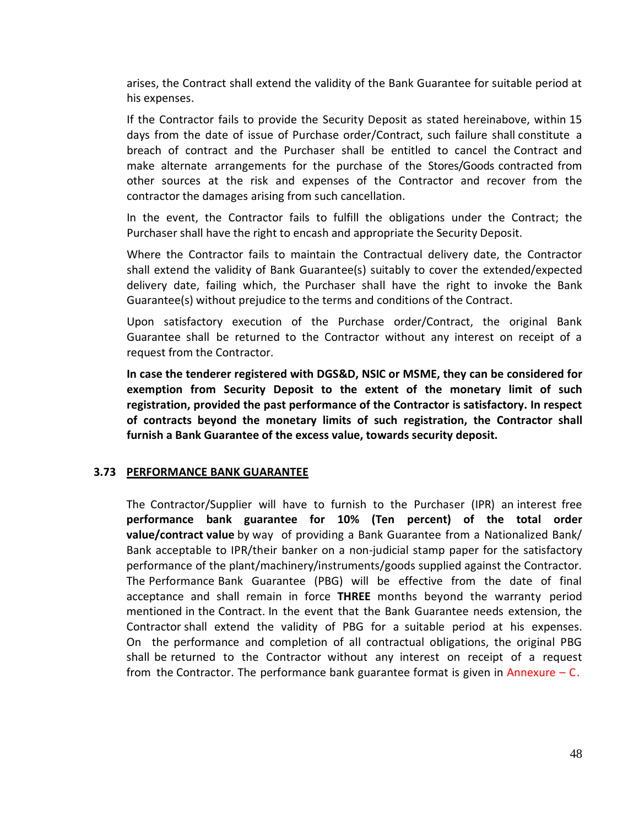arises, the Contract shall extend the validity of the Bank Guarantee for suitable period at his expenses.

If the Contractor fails to provide the Security Deposit as stated hereinabove, within 15 days from the date of issue of Purchase order/Contract, such failure shall constitute a breach of contract and the Purchaser shall be entitled to cancel the Contract and make alternate arrangements for the purchase of the Stores/Goods contracted from other sources at the risk and expenses of the Contractor and recover from the contractor the damages arising from such cancellation.

In the event, the Contractor fails to fulfill the obligations under the Contract; the Purchaser shall have the right to encash and appropriate the Security Deposit.

Where the Contractor fails to maintain the Contractual delivery date, the Contractor shall extend the validity of Bank Guarantee(s) suitably to cover the extended/expected delivery date, failing which, the Purchaser shall have the right to invoke the Bank Guarantee(s) without prejudice to the terms and conditions of the Contract.

Upon satisfactory execution of the Purchase order/Contract, the original Bank Guarantee shall be returned to the Contractor without any interest on receipt of a request from the Contractor.

**In case the tenderer registered with DGS&D, NSIC or MSME, they can be considered for exemption from Security Deposit to the extent of the monetary limit of such registration, provided the past performance of the Contractor is satisfactory. In respect of contracts beyond the monetary limits of such registration, the Contractor shall furnish a Bank Guarantee of the excess value, towards security deposit.**

#### **3.73 PERFORMANCE BANK GUARANTEE**

The Contractor/Supplier will have to furnish to the Purchaser (IPR) an interest free **performance bank guarantee for 10% (Ten percent) of the total order value/contract value** by way of providing a Bank Guarantee from a Nationalized Bank/ Bank acceptable to IPR/their banker on a non-judicial stamp paper for the satisfactory performance of the plant/machinery/instruments/goods supplied against the Contractor. The Performance Bank Guarantee (PBG) will be effective from the date of final acceptance and shall remain in force **THREE** months beyond the warranty period mentioned in the Contract. In the event that the Bank Guarantee needs extension, the Contractor shall extend the validity of PBG for a suitable period at his expenses. On the performance and completion of all contractual obligations, the original PBG shall be returned to the Contractor without any interest on receipt of a request from the Contractor. The performance bank guarantee format is given in Annexure  $-$  C.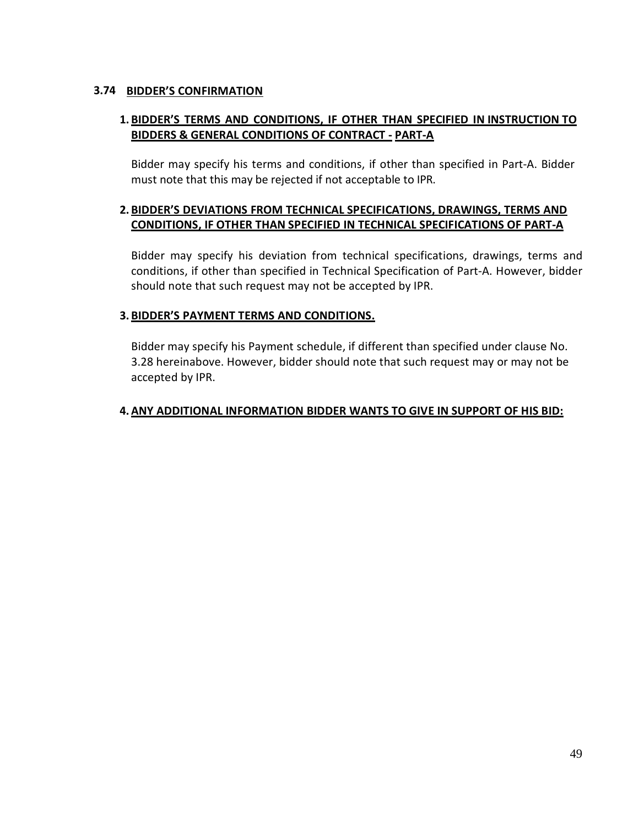#### **3.74 BIDDER'S CONFIRMATION**

#### **1. BIDDER'S TERMS AND CONDITIONS, IF OTHER THAN SPECIFIED IN INSTRUCTION TO BIDDERS & GENERAL CONDITIONS OF CONTRACT - PART-A**

Bidder may specify his terms and conditions, if other than specified in Part-A. Bidder must note that this may be rejected if not acceptable to IPR.

#### **2. BIDDER'S DEVIATIONS FROM TECHNICAL SPECIFICATIONS, DRAWINGS, TERMS AND CONDITIONS, IF OTHER THAN SPECIFIED IN TECHNICAL SPECIFICATIONS OF PART-A**

Bidder may specify his deviation from technical specifications, drawings, terms and conditions, if other than specified in Technical Specification of Part-A. However, bidder should note that such request may not be accepted by IPR.

#### **3. BIDDER'S PAYMENT TERMS AND CONDITIONS.**

Bidder may specify his Payment schedule, if different than specified under clause No. 3.28 hereinabove. However, bidder should note that such request may or may not be accepted by IPR.

#### **4. ANY ADDITIONAL INFORMATION BIDDER WANTS TO GIVE IN SUPPORT OF HIS BID:**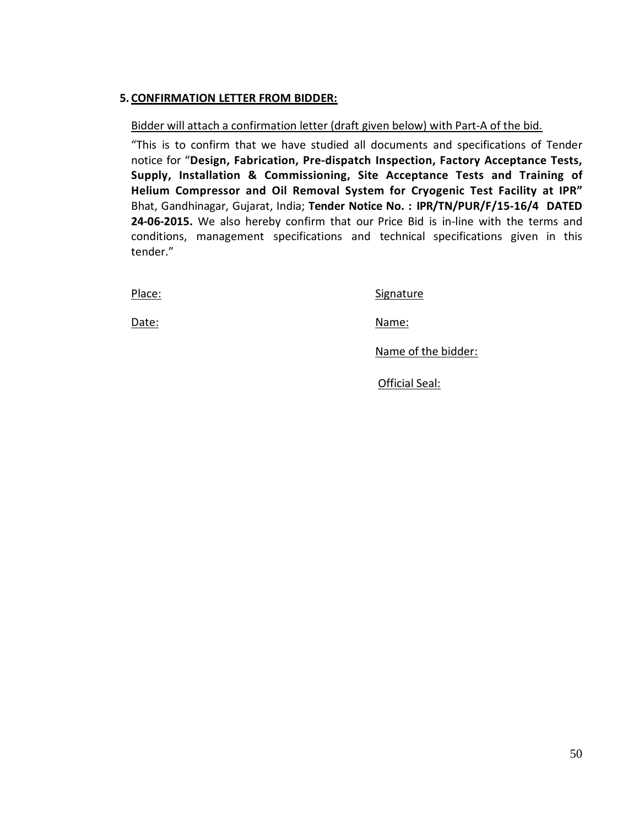#### **5. CONFIRMATION LETTER FROM BIDDER:**

#### Bidder will attach a confirmation letter (draft given below) with Part-A of the bid.

"This is to confirm that we have studied all documents and specifications of Tender notice for "**Design, Fabrication, Pre-dispatch Inspection, Factory Acceptance Tests, Supply, Installation & Commissioning, Site Acceptance Tests and Training of Helium Compressor and Oil Removal System for Cryogenic Test Facility at IPR"** Bhat, Gandhinagar, Gujarat, India; **Tender Notice No. : IPR/TN/PUR/F/15-16/4 DATED 24-06-2015.** We also hereby confirm that our Price Bid is in-line with the terms and conditions, management specifications and technical specifications given in this tender."

Place: Signature Signature

Date: Name: Name: Name: Name: Name: Name: Name: Name: Name: Name: Name: Name: Name: Name: Name: Name: Name: Name: Name: Name: Name: Name: Name: Name: Name: Name: Name: Name: Name: Name: Name: Name: Name: Name: Name: Name:

Name of the bidder:

Official Seal: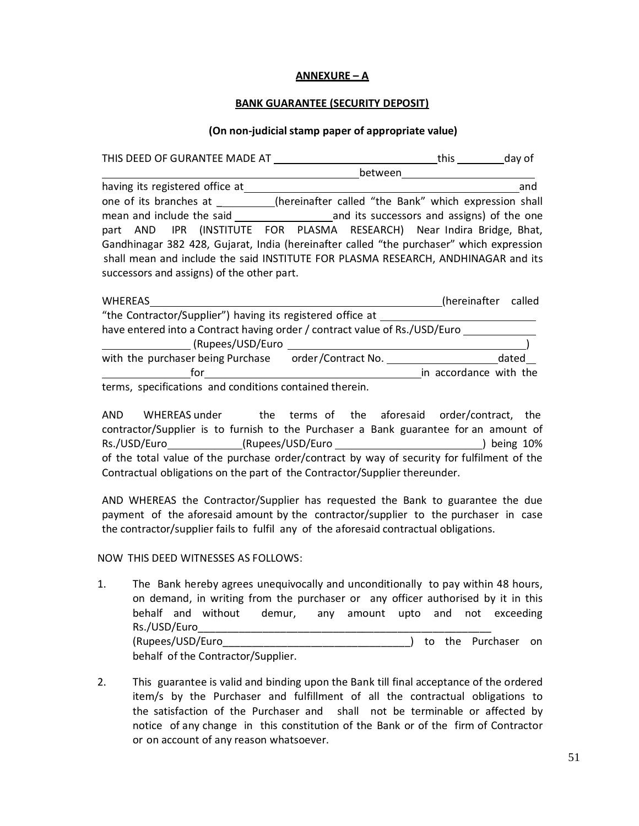#### **ANNEXURE – A**

#### **BANK GUARANTEE (SECURITY DEPOSIT)**

#### **(On non-judicial stamp paper of appropriate value)**

| THIS DEED OF GURANTEE MADE AT                                                                                                                                                                                               |         | this<br>day of |
|-----------------------------------------------------------------------------------------------------------------------------------------------------------------------------------------------------------------------------|---------|----------------|
|                                                                                                                                                                                                                             | between |                |
| having its registered office at                                                                                                                                                                                             |         | and            |
| one of its branches at (hereinafter called "the Bank" which expression shall                                                                                                                                                |         |                |
| mean and include the said and its successors and assigns) of the one                                                                                                                                                        |         |                |
| part AND IPR (INSTITUTE FOR PLASMA RESEARCH) Near Indira Bridge, Bhat,                                                                                                                                                      |         |                |
| Gandhinagar 382 428, Gujarat, India (hereinafter called "the purchaser" which expression<br>shall mean and include the said INSTITUTE FOR PLASMA RESEARCH, ANDHINAGAR and its<br>successors and assigns) of the other part. |         |                |

| <b>WHEREAS</b>                                                             |                    | (hereinafter called    |
|----------------------------------------------------------------------------|--------------------|------------------------|
| "the Contractor/Supplier") having its registered office at                 |                    |                        |
| have entered into a Contract having order / contract value of Rs./USD/Euro |                    |                        |
| (Rupees/USD/Euro                                                           |                    |                        |
| with the purchaser being Purchase                                          | order/Contract No. | dated                  |
| for                                                                        |                    | in accordance with the |
| terms, specifications and conditions contained therein.                    |                    |                        |

AND WHEREAS under the terms of the aforesaid order/contract, the contractor/Supplier is to furnish to the Purchaser a Bank guarantee for an amount of Rs./USD/Euro (Rupees/USD/Euro ) being 10% of the total value of the purchase order/contract by way of security for fulfilment of the Contractual obligations on the part of the Contractor/Supplier thereunder.

AND WHEREAS the Contractor/Supplier has requested the Bank to guarantee the due payment of the aforesaid amount by the contractor/supplier to the purchaser in case the contractor/supplier fails to fulfil any of the aforesaid contractual obligations.

#### NOW THIS DEED WITNESSES AS FOLLOWS:

- 1. The Bank hereby agrees unequivocally and unconditionally to pay within 48 hours, on demand, in writing from the purchaser or any officer authorised by it in this behalf and without demur, any amount upto and not exceeding Rs./USD/Euro\_\_\_\_\_\_\_\_\_\_\_\_\_\_\_\_\_\_\_\_\_\_\_\_\_\_\_\_\_\_\_\_\_\_\_\_\_\_\_\_\_\_\_\_\_\_\_\_\_\_ (Rupees/USD/Euro\_\_\_\_\_\_\_\_\_\_\_\_\_\_\_\_\_\_\_\_\_\_\_\_\_\_\_\_\_\_\_\_) to the Purchaser on behalf of the Contractor/Supplier.
- 2. This guarantee is valid and binding upon the Bank till final acceptance of the ordered item/s by the Purchaser and fulfillment of all the contractual obligations to the satisfaction of the Purchaser and shall not be terminable or affected by notice of any change in this constitution of the Bank or of the firm of Contractor or on account of any reason whatsoever.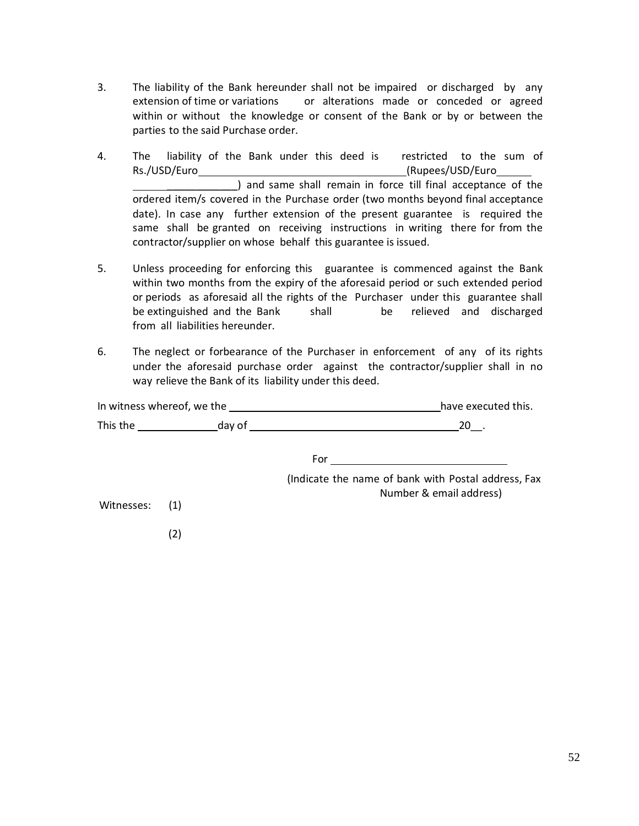- 3. The liability of the Bank hereunder shall not be impaired or discharged by any extension of time or variations or alterations made or conceded or agreed within or without the knowledge or consent of the Bank or by or between the parties to the said Purchase order.
- 4. The liability of the Bank under this deed is restricted to the sum of Rs./USD/Euro (Rupees/USD/Euro \_\_\_\_\_\_\_\_\_\_\_\_) and same shall remain in force till final acceptance of the ordered item/s covered in the Purchase order (two months beyond final acceptance date). In case any further extension of the present guarantee is required the same shall be granted on receiving instructions in writing there for from the contractor/supplier on whose behalf this guarantee is issued.
- 5. Unless proceeding for enforcing this guarantee is commenced against the Bank within two months from the expiry of the aforesaid period or such extended period or periods as aforesaid all the rights of the Purchaser under this guarantee shall be extinguished and the Bank shall be relieved and discharged from all liabilities hereunder.
- 6. The neglect or forbearance of the Purchaser in enforcement of any of its rights under the aforesaid purchase order against the contractor/supplier shall in no way relieve the Bank of its liability under this deed.

| In witness whereof, we the |     |  | have executed this.                                                                                                                                                                                                                     |
|----------------------------|-----|--|-----------------------------------------------------------------------------------------------------------------------------------------------------------------------------------------------------------------------------------------|
| This the day of            |     |  | $20$ .<br>the control of the control of the control of the control of the control of the control of the control of the control of the control of the control of the control of the control of the control of the control of the control |
|                            |     |  | For                                                                                                                                                                                                                                     |
|                            |     |  | (Indicate the name of bank with Postal address, Fax<br>Number & email address)                                                                                                                                                          |
| Witnesses: (1)             |     |  |                                                                                                                                                                                                                                         |
|                            | (2) |  |                                                                                                                                                                                                                                         |
|                            |     |  |                                                                                                                                                                                                                                         |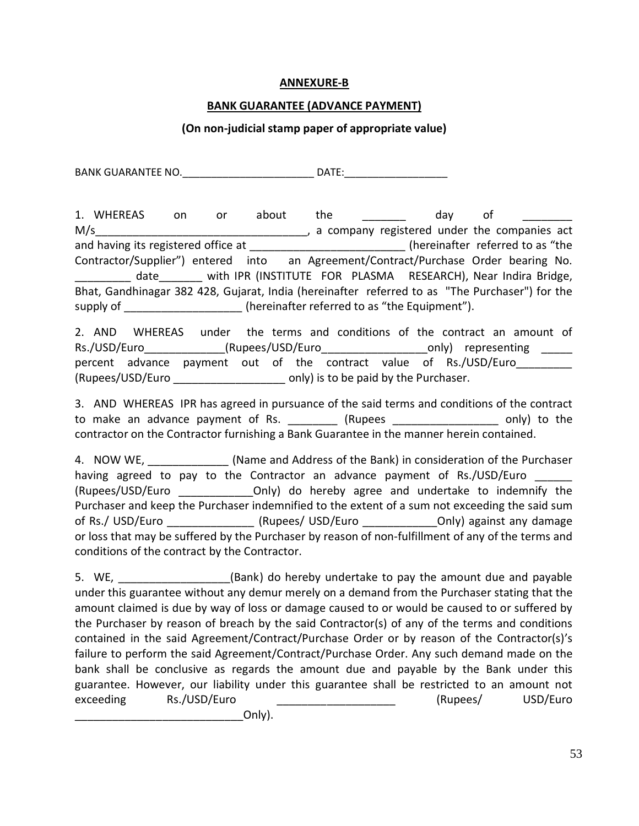#### **ANNEXURE-B**

#### **BANK GUARANTEE (ADVANCE PAYMENT)**

#### **(On non-judicial stamp paper of appropriate value)**

BANK GUARANTEE NO.\_\_\_\_\_\_\_\_\_\_\_\_\_\_\_\_\_\_\_\_\_\_\_ DATE:\_\_\_\_\_\_\_\_\_\_\_\_\_\_\_\_\_\_

1. WHEREAS on or about the the day of M/s M/s and having its registered office at \_\_\_\_\_\_\_\_\_\_\_\_\_\_\_\_\_\_\_\_\_\_\_\_\_\_\_(hereinafter referred to as "the Contractor/Supplier") entered into an Agreement/Contract/Purchase Order bearing No. \_\_\_\_\_\_\_\_\_ date\_\_\_\_\_\_\_ with IPR (INSTITUTE FOR PLASMA RESEARCH), Near Indira Bridge, Bhat, Gandhinagar 382 428, Gujarat, India (hereinafter referred to as "The Purchaser") for the supply of  $\qquad \qquad$  (hereinafter referred to as "the Equipment").

2. AND WHEREAS under the terms and conditions of the contract an amount of Rs./USD/Euro\_\_\_\_\_\_\_\_\_\_\_\_\_(Rupees/USD/Euro\_\_\_\_\_\_\_\_\_\_\_\_\_\_\_\_\_\_\_\_\_\_only) representing \_\_\_\_\_ percent advance payment out of the contract value of Rs./USD/Euro (Rupees/USD/Euro can be paid by the Purchaser.

3. AND WHEREAS IPR has agreed in pursuance of the said terms and conditions of the contract to make an advance payment of Rs.  $\qquad \qquad$  (Rupees  $\qquad \qquad$  only) to the contractor on the Contractor furnishing a Bank Guarantee in the manner herein contained.

4. NOW WE, **Example 20 Increase (Name and Address of the Bank)** in consideration of the Purchaser having agreed to pay to the Contractor an advance payment of Rs./USD/Euro (Rupees/USD/Euro **Digitary Only)** do hereby agree and undertake to indemnify the Purchaser and keep the Purchaser indemnified to the extent of a sum not exceeding the said sum of Rs./ USD/Euro \_\_\_\_\_\_\_\_\_\_\_\_\_\_\_(Rupees/ USD/Euro \_\_\_\_\_\_\_\_\_\_\_\_\_\_\_\_Only) against any damage or loss that may be suffered by the Purchaser by reason of non-fulfillment of any of the terms and conditions of the contract by the Contractor.

5. WE, **EXELG ANCE (Bank)** do hereby undertake to pay the amount due and payable under this guarantee without any demur merely on a demand from the Purchaser stating that the amount claimed is due by way of loss or damage caused to or would be caused to or suffered by the Purchaser by reason of breach by the said Contractor(s) of any of the terms and conditions contained in the said Agreement/Contract/Purchase Order or by reason of the Contractor(s)'s failure to perform the said Agreement/Contract/Purchase Order. Any such demand made on the bank shall be conclusive as regards the amount due and payable by the Bank under this guarantee. However, our liability under this guarantee shall be restricted to an amount not exceeding Rs./USD/Euro \_\_\_\_\_\_\_\_\_\_\_\_\_\_\_\_\_\_\_\_\_\_\_ (Rupees/ USD/Euro

\_\_\_\_\_\_\_\_\_\_\_\_\_\_\_\_\_\_\_\_\_\_\_\_\_\_\_Only).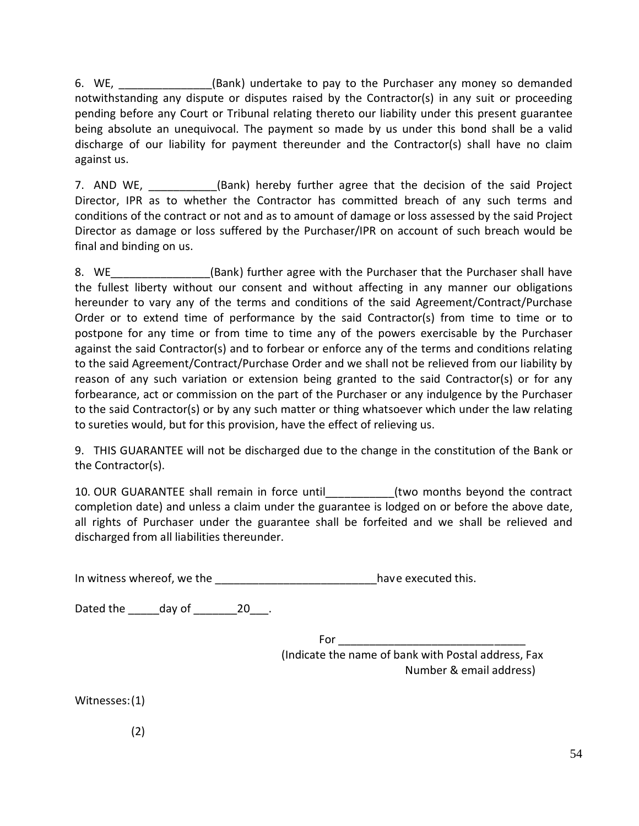6. WE, Sank) undertake to pay to the Purchaser any money so demanded notwithstanding any dispute or disputes raised by the Contractor(s) in any suit or proceeding pending before any Court or Tribunal relating thereto our liability under this present guarantee being absolute an unequivocal. The payment so made by us under this bond shall be a valid discharge of our liability for payment thereunder and the Contractor(s) shall have no claim against us.

7. AND WE, **Solution** (Bank) hereby further agree that the decision of the said Project Director, IPR as to whether the Contractor has committed breach of any such terms and conditions of the contract or not and as to amount of damage or loss assessed by the said Project Director as damage or loss suffered by the Purchaser/IPR on account of such breach would be final and binding on us.

8. WE Sank) further agree with the Purchaser that the Purchaser shall have the fullest liberty without our consent and without affecting in any manner our obligations hereunder to vary any of the terms and conditions of the said Agreement/Contract/Purchase Order or to extend time of performance by the said Contractor(s) from time to time or to postpone for any time or from time to time any of the powers exercisable by the Purchaser against the said Contractor(s) and to forbear or enforce any of the terms and conditions relating to the said Agreement/Contract/Purchase Order and we shall not be relieved from our liability by reason of any such variation or extension being granted to the said Contractor(s) or for any forbearance, act or commission on the part of the Purchaser or any indulgence by the Purchaser to the said Contractor(s) or by any such matter or thing whatsoever which under the law relating to sureties would, but for this provision, have the effect of relieving us.

9. THIS GUARANTEE will not be discharged due to the change in the constitution of the Bank or the Contractor(s).

10. OUR GUARANTEE shall remain in force until example the serve the contract completion date) and unless a claim under the guarantee is lodged on or before the above date, all rights of Purchaser under the guarantee shall be forfeited and we shall be relieved and discharged from all liabilities thereunder.

In witness whereof, we the latter the latter than the latter have executed this.

Dated the day of 20 .

For \_\_\_\_\_\_\_\_\_\_\_\_\_\_\_\_\_\_\_\_\_\_\_\_\_\_\_\_\_\_ (Indicate the name of bank with Postal address, Fax Number & email address)

Witnesses:(1)

(2)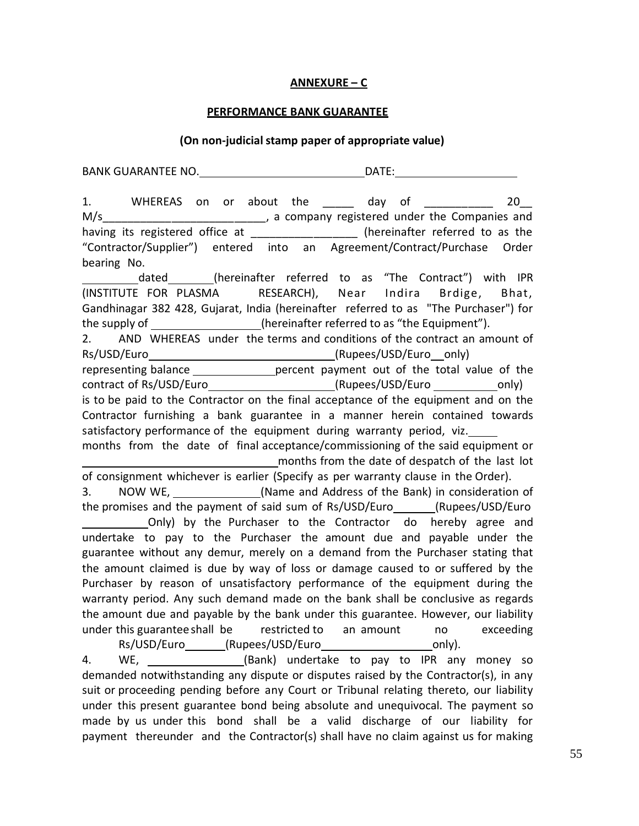#### **ANNEXURE – C**

#### **PERFORMANCE BANK GUARANTEE**

#### **(On non-judicialstamp paper of appropriate value)**

BANK GUARANTEE NO. DATE: 1. WHEREAS on or about the day of 20 M/s\_\_\_\_\_\_\_\_\_\_\_\_\_\_\_\_\_\_\_\_\_\_\_\_\_\_\_\_\_, a company registered under the Companies and having its registered office at  $\qquad \qquad$  (hereinafter referred to as the "Contractor/Supplier") entered into an Agreement/Contract/Purchase Order bearing No. dated (hereinafter referred to as "The Contract") with IPR (INSTITUTE FOR PLASMA RESEARCH), Near Indira Brdige, Bhat, Gandhinagar 382 428, Gujarat, India (hereinafter referred to as "The Purchaser") for the supply of  $\qquad \qquad \qquad \qquad$  (hereinafter referred to as "the Equipment"). 2. AND WHEREAS under the terms and conditions of the contract an amount of Rs/USD/Euro (Rupees/USD/Euro only) representing balance \_\_\_\_\_\_\_\_\_\_\_\_\_\_\_\_percent payment out of the total value of the contract of Rs/USD/Euro (Rupees/USD/Euro only) is to be paid to the Contractor on the final acceptance of the equipment and on the Contractor furnishing a bank guarantee in a manner herein contained towards satisfactory performance of the equipment during warranty period, viz. months from the date of final acceptance/commissioning of the said equipment or months from the date of despatch of the last lot of consignment whichever is earlier (Specify as per warranty clause in the Order). 3. NOW WE, (Name and Address of the Bank) in consideration of the promises and the payment of said sum of Rs/USD/Euro (Rupees/USD/Euro Only) by the Purchaser to the Contractor do hereby agree and undertake to pay to the Purchaser the amount due and payable under the guarantee without any demur, merely on a demand from the Purchaser stating that the amount claimed is due by way of loss or damage caused to or suffered by the Purchaser by reason of unsatisfactory performance of the equipment during the warranty period. Any such demand made on the bank shall be conclusive as regards the amount due and payable by the bank under this guarantee. However, our liability under this guaranteeshall be restricted to an amount no exceeding Rs/USD/Euro (Rupees/USD/Euro metal only).

4. WE, \_\_\_\_\_\_\_\_\_\_\_\_\_\_(Bank) undertake to pay to IPR any money so demanded notwithstanding any dispute or disputes raised by the Contractor(s), in any suit or proceeding pending before any Court or Tribunal relating thereto, our liability under this present guarantee bond being absolute and unequivocal. The payment so made by us under this bond shall be a valid discharge of our liability for payment thereunder and the Contractor(s) shall have no claim against us for making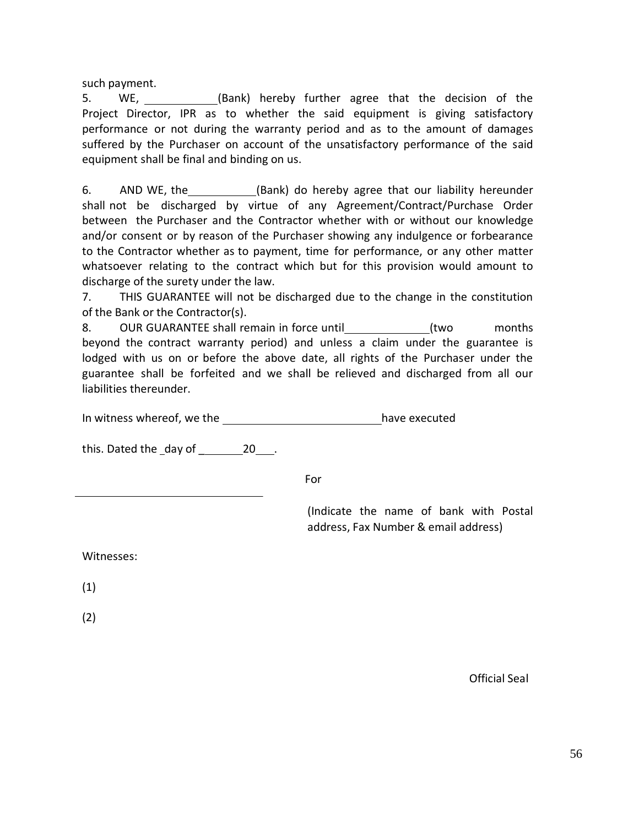such payment.

5. WE, (Bank) hereby further agree that the decision of the Project Director, IPR as to whether the said equipment is giving satisfactory performance or not during the warranty period and as to the amount of damages suffered by the Purchaser on account of the unsatisfactory performance of the said equipment shall be final and binding on us.

6. AND WE, the (Bank) do hereby agree that our liability hereunder shall not be discharged by virtue of any Agreement/Contract/Purchase Order between the Purchaser and the Contractor whether with or without our knowledge and/or consent or by reason of the Purchaser showing any indulgence or forbearance to the Contractor whether as to payment, time for performance, or any other matter whatsoever relating to the contract which but for this provision would amount to discharge of the surety under the law.

7. THIS GUARANTEE will not be discharged due to the change in the constitution of the Bank or the Contractor(s).

8. OUR GUARANTEE shall remain in force until (two months beyond the contract warranty period) and unless a claim under the guarantee is lodged with us on or before the above date, all rights of the Purchaser under the guarantee shall be forfeited and we shall be relieved and discharged from all our liabilities thereunder.

In witness whereof, we the have executed

this. Dated the day of 20 .

For

(Indicate the name of bank with Postal address, Fax Number & email address)

Witnesses:

(1)

(2)

Official Seal